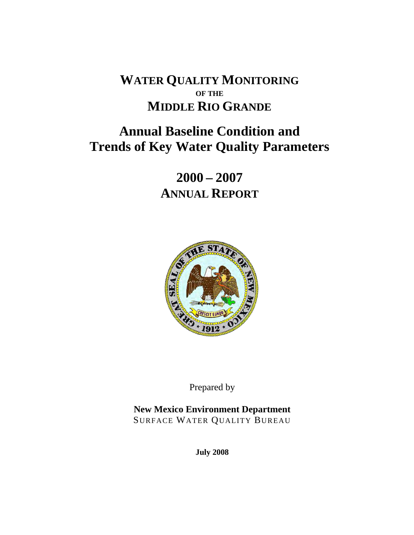**WATER QUALITY MONITORING OF THE MIDDLE RIO GRANDE**

# **Annual Baseline Condition and Trends of Key Water Quality Parameters**

# **2000 – 2007 ANNUAL REPORT**



Prepared by

**[New Mexico Environment Department](http://www.nmenv.state.nm.us/)** [SURFACE WATER QUALITY BUREAU](http://www.nmenv.state.nm.us/swqb/)

**July 2008**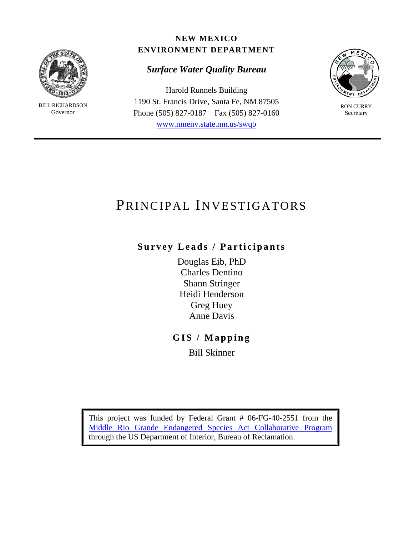

BILL RICHARDSON Governor

## **NEW MEXICO ENVIRONMENT DEPARTMENT**

# *Surface Water Quality Bureau*

Harold Runnels Building 1190 St. Francis Drive, Santa Fe, NM 87505 Phone (505) 827-0187 Fax (505) 827-0160 www.nmenv.state.nm.us/swqb



RON CURRY Secretary

# PRINCIPAL INVESTIGATORS

# **Survey Leads / Participants**

Douglas Eib, PhD Charles Dentino Shann Stringer Heidi Henderson Greg Huey Anne Davis

## **GIS / Mapping**

Bill Skinner

[This project was funded by Federal Grant # 06-FG-40-2551 from the](http://www.mrgesa.com/)  Middle Rio Grande Endangered Species Act Collaborative Program through the US Department of Interior, Bureau of Reclamation.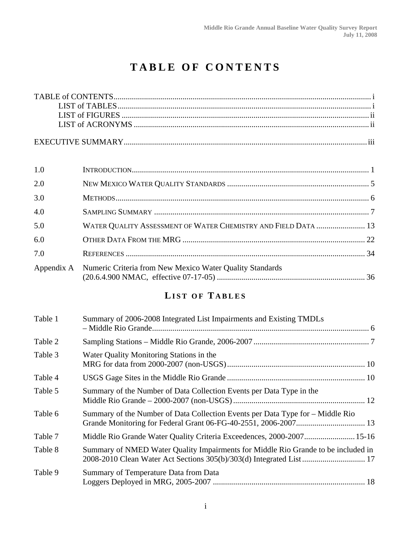# **TABLE OF CONTENTS**

| 1.0 |                                                                     |  |
|-----|---------------------------------------------------------------------|--|
| 2.0 |                                                                     |  |
| 3.0 |                                                                     |  |
| 4.0 |                                                                     |  |
| 5.0 | WATER QUALITY ASSESSMENT OF WATER CHEMISTRY AND FIELD DATA  13      |  |
| 6.0 |                                                                     |  |
| 7.0 |                                                                     |  |
|     | Appendix A Numeric Criteria from New Mexico Water Quality Standards |  |

# **LIST OF T ABLES**

| Table 1 | Summary of 2006-2008 Integrated List Impairments and Existing TMDLs               |
|---------|-----------------------------------------------------------------------------------|
| Table 2 |                                                                                   |
| Table 3 | Water Quality Monitoring Stations in the                                          |
| Table 4 |                                                                                   |
| Table 5 | Summary of the Number of Data Collection Events per Data Type in the              |
| Table 6 | Summary of the Number of Data Collection Events per Data Type for – Middle Rio    |
| Table 7 | Middle Rio Grande Water Quality Criteria Exceedences, 2000-2007 15-16             |
| Table 8 | Summary of NMED Water Quality Impairments for Middle Rio Grande to be included in |
| Table 9 | Summary of Temperature Data from Data                                             |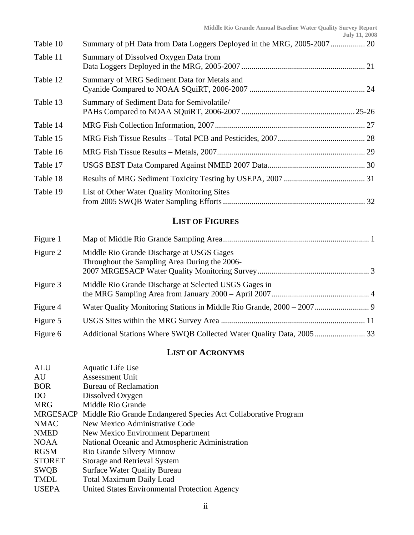<span id="page-3-0"></span>

| Table 10 |                                              |  |
|----------|----------------------------------------------|--|
| Table 11 | Summary of Dissolved Oxygen Data from        |  |
| Table 12 | Summary of MRG Sediment Data for Metals and  |  |
| Table 13 | Summary of Sediment Data for Semivolatile/   |  |
| Table 14 |                                              |  |
| Table 15 |                                              |  |
| Table 16 |                                              |  |
| Table 17 |                                              |  |
| Table 18 |                                              |  |
| Table 19 | List of Other Water Quality Monitoring Sites |  |

# **LIST OF FIGURES**

| Figure 1 |                                                                                            |  |
|----------|--------------------------------------------------------------------------------------------|--|
| Figure 2 | Middle Rio Grande Discharge at USGS Gages<br>Throughout the Sampling Area During the 2006- |  |
| Figure 3 | Middle Rio Grande Discharge at Selected USGS Gages in                                      |  |
| Figure 4 |                                                                                            |  |
| Figure 5 |                                                                                            |  |
| Figure 6 |                                                                                            |  |

## **LIST OF ACRONYMS**

| <b>ALU</b>    | Aquatic Life Use                                                        |
|---------------|-------------------------------------------------------------------------|
| AU            | <b>Assessment Unit</b>                                                  |
| <b>BOR</b>    | Bureau of Reclamation                                                   |
| DO            | Dissolved Oxygen                                                        |
| <b>MRG</b>    | Middle Rio Grande                                                       |
|               | MRGESACP Middle Rio Grande Endangered Species Act Collaborative Program |
| <b>NMAC</b>   | New Mexico Administrative Code                                          |
| <b>NMED</b>   | New Mexico Environment Department                                       |
| <b>NOAA</b>   | National Oceanic and Atmospheric Administration                         |
| <b>RGSM</b>   | Rio Grande Silvery Minnow                                               |
| <b>STORET</b> | <b>Storage and Retrieval System</b>                                     |
| <b>SWQB</b>   | <b>Surface Water Quality Bureau</b>                                     |
| <b>TMDL</b>   | <b>Total Maximum Daily Load</b>                                         |
| <b>USEPA</b>  | United States Environmental Protection Agency                           |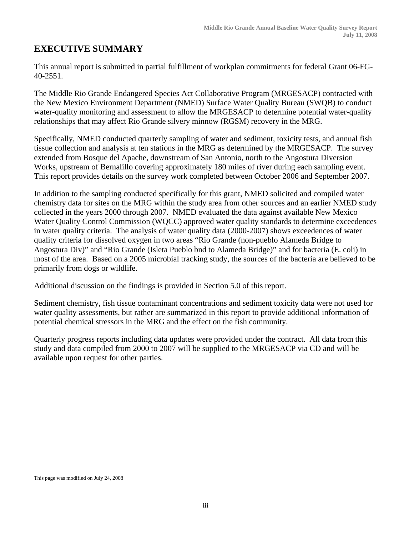## **EXECUTIVE SUMMARY**

This annual report is submitted in partial fulfillment of workplan commitments for federal Grant 06-FG-40-2551.

The Middle Rio Grande Endangered Species Act Collaborative Program (MRGESACP) contracted with the New Mexico Environment Department (NMED) Surface Water Quality Bureau (SWQB) to conduct water-quality monitoring and assessment to allow the MRGESACP to determine potential water-quality relationships that may affect Rio Grande silvery minnow (RGSM) recovery in the MRG.

Specifically, NMED conducted quarterly sampling of water and sediment, toxicity tests, and annual fish tissue collection and analysis at ten stations in the MRG as determined by the MRGESACP.The survey extended from Bosque del Apache, downstream of San Antonio, north to the Angostura Diversion Works, upstream of Bernalillo covering approximately 180 miles of river during each sampling event. This report provides details on the survey work completed between October 2006 and September 2007.

In addition to the sampling conducted specifically for this grant, NMED solicited and compiled water chemistry data for sites on the MRG within the study area from other sources and an earlier NMED study collected in the years 2000 through 2007. NMED evaluated the data against available New Mexico Water Quality Control Commission (WQCC) approved water quality standards to determine exceedences in water quality criteria. The analysis of water quality data (2000-2007) shows exceedences of water quality criteria for dissolved oxygen in two areas "Rio Grande (non-pueblo Alameda Bridge to Angostura Div)" and "Rio Grande (Isleta Pueblo bnd to Alameda Bridge)" and for bacteria (E. coli) in most of the area. Based on a 2005 microbial tracking study, the sources of the bacteria are believed to be primarily from dogs or wildlife.

Additional discussion on the findings is provided i[n Section 5.0 o](#page-18-0)f this report.

Sediment chemistry, fish tissue contaminant concentrations and sediment toxicity data were not used for water quality assessments, but rather are summarized in this report to provide additional information of potential chemical stressors in the MRG and the effect on the fish community.

Quarterly progress reports including data updates were provided under the contract. All data from this study and data compiled from 2000 to 2007 will be supplied to the MRGESACP via CD and will be available upon request for other parties.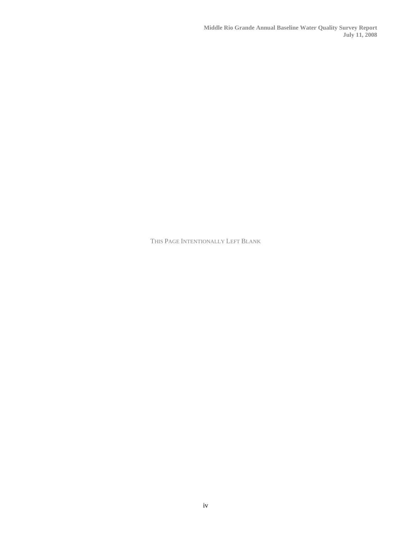**Middle Rio Grande Annual Baseline Water Quality Survey Report July 11, 2008** 

THIS PAGE INTENTIONALLY LEFT BLANK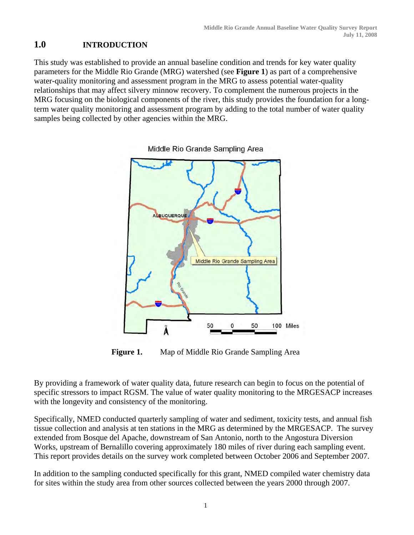## <span id="page-6-0"></span>**1.0 INTRODUCTION**

This study was established to provide an annual baseline condition and trends for key water quality parameters for the Middle Rio Grande (MRG) watershed (see **Figure 1**) as part of a comprehensive water-quality monitoring and assessment program in the MRG to assess potential water-quality relationships that may affect silvery minnow recovery. To complement the numerous projects in the MRG focusing on the biological components of the river, this study provides the foundation for a longterm water quality monitoring and assessment program by adding to the total number of water quality samples being collected by other agencies within the MRG.



Middle Rio Grande Sampling Area

**Figure 1.** Map of Middle Rio Grande Sampling Area

By providing a framework of water quality data, future research can begin to focus on the potential of specific stressors to impact RGSM. The value of water quality monitoring to the MRGESACP increases with the longevity and consistency of the monitoring.

Specifically, NMED conducted quarterly sampling of water and sediment, toxicity tests, and annual fish tissue collection and analysis at ten stations in the MRG as determined by the MRGESACP.The survey extended from Bosque del Apache, downstream of San Antonio, north to the Angostura Diversion Works, upstream of Bernalillo covering approximately 180 miles of river during each sampling event. This report provides details on the survey work completed between October 2006 and September 2007.

In addition to the sampling conducted specifically for this grant, NMED compiled water chemistry data for sites within the study area from other sources collected between the years 2000 through 2007.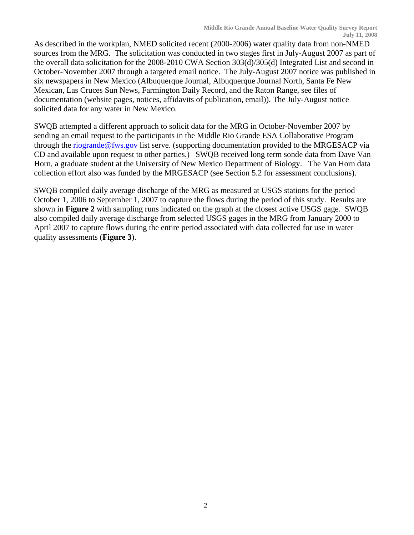As described in the workplan, NMED solicited recent (2000-2006) water quality data from non-NMED sources from the MRG. The solicitation was conducted in two stages first in July-August 2007 as part of the overall data solicitation for the 2008-2010 CWA Section 303(d)/305(d) Integrated List and second in October-November 2007 through a targeted email notice. The July-August 2007 notice was published in six newspapers in New Mexico (Albuquerque Journal, Albuquerque Journal North, Santa Fe New Mexican, Las Cruces Sun News, Farmington Daily Record, and the Raton Range, see files of documentation (website pages, notices, affidavits of publication, email)). The July-August notice solicited data for any water in New Mexico.

SWQB attempted a different approach to solicit data for the MRG in October-November 2007 by sending an email request to the participants in the Middle Rio Grande ESA Collaborative Program through the riogrande@fws.gov list serve. (supporting documentation provided to the MRGESACP via CD and available upon request to other parties.) SWQB received long term sonde data from Dave Van Horn, a graduate student at the University of New Mexico Department of Biology. The Van Horn data collection effort also was funded by the MRGESACP (see [Section 5.2](#page-22-0) for assessment conclusions).

SWQB compiled daily average discharge of the MRG as measured at USGS stations for the period October 1, 2006 to September 1, 2007 to capture the flows during the period of this study. Results are shown in **[Figure 2](#page-8-0)** with sampling runs indicated on the graph at the closest active USGS gage. SWQB also compiled daily average discharge from selected USGS gages in the MRG from January 2000 to April 2007 to capture flows during the entire period associated with data collected for use in water quality assessments (**[Figure 3](#page-9-0)**).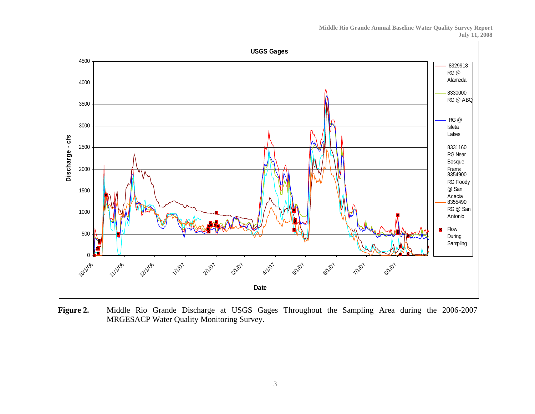<span id="page-8-0"></span>

**Figure 2.** Middle Rio Grande Discharge at USGS Gages Throughout the Sampling Area during the 2006-2007 MRGESACP Water Quality Monitoring Survey.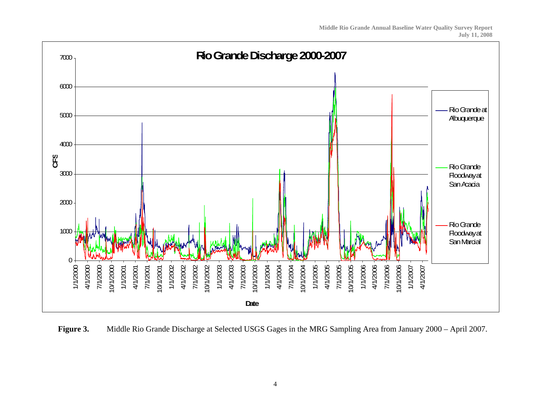<span id="page-9-0"></span>

**Figure 3.** Middle Rio Grande Discharge at Selected USGS Gages in the MRG Sampling Area from January 2000 – April 2007.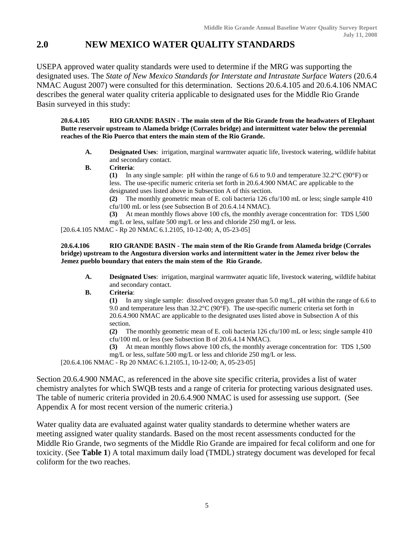# <span id="page-10-0"></span>**2.0 NEW MEXICO WATER QUALITY STANDARDS**

USEPA approved water quality standards were used to determine if the MRG was supporting the designated uses. The *State of New Mexico Standards for Interstate and Intrastate Surface Waters* (20.6.4 NMAC August 2007) were consulted for this determination. Sections 20.6.4.105 and 20.6.4.106 NMAC describes the general water quality criteria applicable to designated uses for the Middle Rio Grande Basin surveyed in this study:

**20.6.4.105 RIO GRANDE BASIN - The main stem of the Rio Grande from the headwaters of Elephant Butte reservoir upstream to Alameda bridge (Corrales bridge) and intermittent water below the perennial reaches of the Rio Puerco that enters the main stem of the Rio Grande.**

**A. Designated Uses**: irrigation, marginal warmwater aquatic life, livestock watering, wildlife habitat and secondary contact.

**B. Criteria**:

**(1)** In any single sample: pH within the range of 6.6 to 9.0 and temperature 32.2°C (90°F) or less. The use-specific numeric criteria set forth in 20.6.4.900 NMAC are applicable to the designated uses listed above in Subsection A of this section.

**(2)** The monthly geometric mean of E. coli bacteria 126 cfu/100 mL or less; single sample 410 cfu/100 mL or less (see Subsection B of 20.6.4.14 NMAC).

**(3)** At mean monthly flows above 100 cfs, the monthly average concentration for: TDS l,500 mg/L or less, sulfate 500 mg/L or less and chloride 250 mg/L or less.

[20.6.4.105 NMAC - Rp 20 NMAC 6.1.2105, 10-12-00; A, 05-23-05]

#### **20.6.4.106 RIO GRANDE BASIN - The main stem of the Rio Grande from Alameda bridge (Corrales bridge) upstream to the Angostura diversion works and intermittent water in the Jemez river below the Jemez pueblo boundary that enters the main stem of the Rio Grande.**

**A. Designated Uses**: irrigation, marginal warmwater aquatic life, livestock watering, wildlife habitat and secondary contact.

**B. Criteria**:

**(1)** In any single sample: dissolved oxygen greater than 5.0 mg/L, pH within the range of 6.6 to 9.0 and temperature less than 32.2°C (90°F). The use-specific numeric criteria set forth in 20.6.4.900 NMAC are applicable to the designated uses listed above in Subsection A of this section.

**(2)** The monthly geometric mean of E. coli bacteria 126 cfu/100 mL or less; single sample 410 cfu/100 mL or less (see Subsection B of 20.6.4.14 NMAC).

**(3)** At mean monthly flows above 100 cfs, the monthly average concentration for: TDS 1,500 mg/L or less, sulfate 500 mg/L or less and chloride 250 mg/L or less.

[20.6.4.106 NMAC - Rp 20 NMAC 6.1.2105.1, 10-12-00; A, 05-23-05]

Section 20.6.4.900 NMAC, as referenced in the above site specific criteria, provides a list of water chemistry analytes for which SWQB tests and a range of criteria for protecting various designated uses. The table of numeric criteria provided in 20.6.4.900 NMAC is used for assessing use support. (See Appendix A for most recent version of the numeric criteria.)

Water quality data are evaluated against water quality standards to determine whether waters are meeting assigned water quality standards. Based on the most recent assessments conducted for the Middle Rio Grande, two segments of the Middle Rio Grande are impaired for fecal coliform and one for toxicity. (See **[Table 1](#page-11-0)**) A total maximum daily load (TMDL) strategy document was developed for fecal coliform for the two reaches.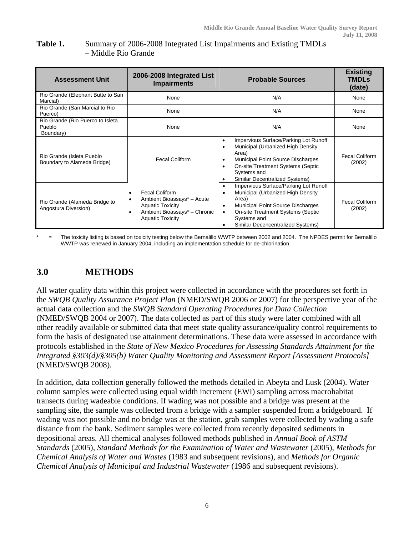<span id="page-11-0"></span>

| Table 1. | Summary of 2006-2008 Integrated List Impairments and Existing TMDLs |
|----------|---------------------------------------------------------------------|
|          | - Middle Rio Grande                                                 |

| <b>Assessment Unit</b>                                   | 2006-2008 Integrated List<br><b>Impairments</b>                                                                                                                     | <b>Probable Sources</b>                                                                                                                                                                                                                                                            | <b>Existing</b><br><b>TMDLs</b><br>(date) |
|----------------------------------------------------------|---------------------------------------------------------------------------------------------------------------------------------------------------------------------|------------------------------------------------------------------------------------------------------------------------------------------------------------------------------------------------------------------------------------------------------------------------------------|-------------------------------------------|
| Rio Grande (Elephant Butte to San<br>Marcial)            | None                                                                                                                                                                | N/A                                                                                                                                                                                                                                                                                | None                                      |
| Rio Grande (San Marcial to Rio<br>Puerco)                | None                                                                                                                                                                | N/A                                                                                                                                                                                                                                                                                | None                                      |
| Rio Grande (Rio Puerco to Isleta<br>Pueblo<br>Boundary)  | None                                                                                                                                                                | N/A                                                                                                                                                                                                                                                                                | None                                      |
| Rio Grande (Isleta Pueblo<br>Boundary to Alameda Bridge) | <b>Fecal Coliform</b>                                                                                                                                               | Impervious Surface/Parking Lot Runoff<br>$\bullet$<br>Municipal (Urbanized High Density<br>$\bullet$<br>Area)<br><b>Municipal Point Source Discharges</b><br>$\bullet$<br>On-site Treatment Systems (Septic<br>$\bullet$<br>Systems and<br>Similar Decentralized Systems)<br>٠     | <b>Fecal Coliform</b><br>(2002)           |
| Rio Grande (Alameda Bridge to<br>Angostura Diversion)    | <b>Fecal Coliform</b><br>$\bullet$<br>Ambient Bioassays* - Acute<br><b>Aquatic Toxicity</b><br>Ambient Bioassays* - Chronic<br>$\bullet$<br><b>Aquatic Toxicity</b> | Impervious Surface/Parking Lot Runoff<br>$\bullet$<br>Municipal (Urbanized High Density<br>$\bullet$<br>Area)<br>Municipal Point Source Discharges<br>$\bullet$<br>On-site Treatment Systems (Septic<br>$\bullet$<br>Systems and<br>Similar Decencentralized Systems)<br>$\bullet$ | <b>Fecal Coliform</b><br>(2002)           |

The toxicity listing is based on toxicity testing below the Bernalillo WWTP between 2002 and 2004. The NPDES permit for Bernalillo WWTP was renewed in January 2004, including an implementation schedule for de-chlorination.

# **3.0 METHODS**

All water quality data within this project were collected in accordance with the procedures set forth in the *SWQB Quality Assurance Project Plan* [\(NMED/SWQB 2006 or 2007\)](#page-39-0) for the perspective year of the actual data collection and the *SWQB Standard Operating Procedures for Data Collection*  [\(NMED/SWQB 2004 or 2007\).](#page-39-0) The data collected as part of this study were later combined with all other readily available or submitted data that meet state quality assurance/quality control requirements to form the basis of designated use attainment determinations. These data were assessed in accordance with protocols established in the *State of New Mexico Procedures for Assessing Standards Attainment for the Integrated §303(d)/§305(b) Water Quality Monitoring and Assessment Report [Assessment Protocols]*  [\(NMED/SWQB 2008\)](#page-39-0)*.*

In addition, data collection generally followed the methods detailed in [Abeyta and Lusk \(2004\).](#page-39-0) Water column samples were collected using equal width increment (EWI) sampling across macrohabitat transects during wadeable conditions. If wading was not possible and a bridge was present at the sampling site, the sample was collected from a bridge with a sampler suspended from a bridgeboard. If wading was not possible and no bridge was at the station, grab samples were collected by wading a safe distance from the bank. Sediment samples were collected from recently deposited sediments in depositional areas. All chemical analyses followed methods published in *Annual Book of ASTM Standards* (2005), *Standard Methods for the Examination of Water and Wastewater* (2005), *Methods for Chemical Analysis of Water and Wastes* (1983 and subsequent revisions), and *Methods for Organic Chemical Analysis of Municipal and Industrial Wastewater* (1986 and subsequent revisions).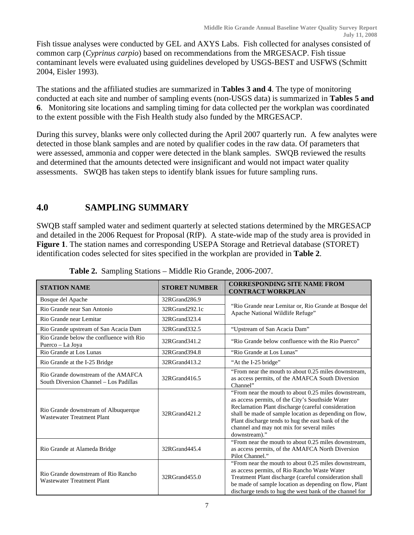<span id="page-12-0"></span>Fish tissue analyses were conducted by GEL and AXYS Labs. Fish collected for analyses consisted of common carp (*Cyprinus carpio*) based on recommendations from the MRGESACP. Fish tissue contaminant levels were evaluated using guidelines developed by USGS-BEST and USFWS [\(Schmitt](#page-40-0)  [2004,](#page-40-0) [Eisler 1993\).](#page-39-0)

The stations and the affiliated studies are summarized in **[Tables 3 and 4](#page-15-0)**. The type of monitoring conducted at each site and number of sampling events (non-USGS data) is summarized in **[Tables 5](#page-17-0) [and](#page-18-0)  6**[.](#page-18-0) Monitoring site locations and sampling timing for data collected per the workplan was coordinated to the extent possible with the Fish Health study also funded by the MRGESACP.

During this survey, blanks were only collected during the April 2007 quarterly run. A few analytes were detected in those blank samples and are noted by qualifier codes in the raw data. Of parameters that were assessed, ammonia and copper were detected in the blank samples. SWQB reviewed the results and determined that the amounts detected were insignificant and would not impact water quality assessments. SWQB has taken steps to identify blank issues for future sampling runs.

# **4.0 SAMPLING SUMMARY**

SWQB staff sampled water and sediment quarterly at selected stations determined by the MRGESACP and detailed in the 2006 Request for Proposal (RfP). A state-wide map of the study area is provided in **[Figure 1](#page-6-0)**. The station names and corresponding USEPA Storage and Retrieval database (STORET) identification codes selected for sites specified in the workplan are provided in **Table 2**.

| <b>STATION NAME</b>                                                           | <b>STORET NUMBER</b> | <b>CORRESPONDING SITE NAME FROM</b><br><b>CONTRACT WORKPLAN</b>                                                                                                                                                                                                                                                                             |
|-------------------------------------------------------------------------------|----------------------|---------------------------------------------------------------------------------------------------------------------------------------------------------------------------------------------------------------------------------------------------------------------------------------------------------------------------------------------|
| Bosque del Apache                                                             | 32RGrand286.9        |                                                                                                                                                                                                                                                                                                                                             |
| Rio Grande near San Antonio                                                   | 32RGrand292.1c       | "Rio Grande near Lemitar or, Rio Grande at Bosque del<br>Apache National Wildlife Refuge"                                                                                                                                                                                                                                                   |
| Rio Grande near Lemitar                                                       | 32RGrand323.4        |                                                                                                                                                                                                                                                                                                                                             |
| Rio Grande upstream of San Acacia Dam                                         | 32RGrand332.5        | "Upstream of San Acacia Dam"                                                                                                                                                                                                                                                                                                                |
| Rio Grande below the confluence with Rio<br>Puerco - La Joya                  | 32RGrand341.2        | "Rio Grande below confluence with the Rio Puerco"                                                                                                                                                                                                                                                                                           |
| Rio Grande at Los Lunas                                                       | 32RGrand394.8        | "Rio Grande at Los Lunas"                                                                                                                                                                                                                                                                                                                   |
| Rio Grande at the I-25 Bridge                                                 | 32RGrand413.2        | "At the I-25 bridge"                                                                                                                                                                                                                                                                                                                        |
| Rio Grande downstream of the AMAFCA<br>South Diversion Channel - Los Padillas | 32RGrand416.5        | "From near the mouth to about 0.25 miles downstream.<br>as access permits, of the AMAFCA South Diversion<br>Channel"                                                                                                                                                                                                                        |
| Rio Grande downstream of Albuquerque<br><b>Wastewater Treatment Plant</b>     | 32RGrand421.2        | "From near the mouth to about 0.25 miles downstream,<br>as access permits, of the City's Southside Water<br>Reclamation Plant discharge (careful consideration<br>shall be made of sample location as depending on flow,<br>Plant discharge tends to hug the east bank of the<br>channel and may not mix for several miles<br>downstream)." |
| Rio Grande at Alameda Bridge                                                  | 32RGrand445.4        | "From near the mouth to about 0.25 miles downstream,<br>as access permits, of the AMAFCA North Diversion<br>Pilot Channel."                                                                                                                                                                                                                 |
| Rio Grande downstream of Rio Rancho<br><b>Wastewater Treatment Plant</b>      | 32RGrand455.0        | "From near the mouth to about 0.25 miles downstream.<br>as access permits, of Rio Rancho Waste Water<br>Treatment Plant discharge (careful consideration shall<br>be made of sample location as depending on flow, Plant<br>discharge tends to hug the west bank of the channel for                                                         |

 **Table 2.** Sampling Stations – Middle Rio Grande, 2006-2007.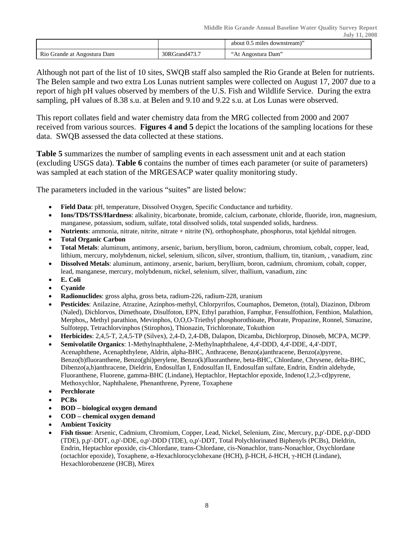|                             |               | about 0.5 miles downstream)" |
|-----------------------------|---------------|------------------------------|
| Rio Grande at Angostura Dam | 30RGrand473.7 | "At Angostura Dam"           |

Although not part of the list of 10 sites, SWQB staff also sampled the Rio Grande at Belen for nutrients. The Belen sample and two extra Los Lunas nutrient samples were collected on August 17, 2007 due to a report of high pH values observed by members of the U.S. Fish and Wildlife Service. During the extra sampling, pH values of 8.38 s.u. at Belen and 9.10 and 9.22 s.u. at Los Lunas were observed.

This report collates field and water chemistry data from the MRG collected from 2000 and 2007 received from various sources. **[Figures 4](#page-14-0) [and 5](#page-16-0)** depict the locations of the sampling locations for these data. SWQB assessed the data collected at these stations.

**[Table 5](#page-17-0)** summarizes the number of sampling events in each assessment unit and at each station (excluding USGS data). **[Table 6](#page-18-0)** contains the number of times each parameter (or suite of parameters) was sampled at each station of the MRGESACP water quality monitoring study.

The parameters included in the various "suites" are listed below:

- **Field Data**: pH, temperature, Dissolved Oxygen, Specific Conductance and turbidity.
- **Ions/TDS/TSS/Hardness**: alkalinity, bicarbonate, bromide, calcium, carbonate, chloride, fluoride, iron, magnesium, manganese, potassium, sodium, sulfate, total dissolved solids, total suspended solids, hardness.
- **Nutrients**: ammonia, nitrate, nitrite, nitrate + nitrite (N), orthophosphate, phosphorus, total kjehldal nitrogen.
- **Total Organic Carbon**
- **Total Metals**: aluminum, antimony, arsenic, barium, beryllium, boron, cadmium, chromium, cobalt, copper, lead, lithium, mercury, molybdenum, nickel, selenium, silicon, silver, strontium, thallium, tin, titanium, , vanadium, zinc
- **Dissolved Metals**: aluminum, antimony, arsenic, barium, beryllium, boron, cadmium, chromium, cobalt, copper, lead, manganese, mercury, molybdenum, nickel, selenium, silver, thallium, vanadium, zinc
- **E. Coli**
- **Cyanide**
- **Radionuclides**: gross alpha, gross beta, radium-226, radium-228, uranium
- **Pesticides**: Anilazine, Atrazine, Azinphos-methyl, Chlorpyrifos, Coumaphos, Demeton, (total), Diazinon, Dibrom (Naled), Dichlorvos, Dimethoate, Disulfoton, EPN, Ethyl parathion, Famphur, Fensulfothion, Fenthion, Malathion, Merphos,, Methyl parathion, Mevinphos, O,O,O-Triethyl phosphorothioate, Phorate, Propazine, Ronnel, Simazine, Sulfotepp, Tetrachlorvinphos (Stirophos), Thionazin, Trichloronate, Tokuthion
- **Herbicides**: 2,4,5-T, 2,4,5-TP (Silvex), 2,4-D, 2,4-DB, Dalapon, Dicamba, Dichlorprop, Dinoseb, MCPA, MCPP.
- **Semivolatile Organics**: 1-Methylnaphthalene, 2-Methylnaphthalene, 4,4'-DDD, 4,4'-DDE, 4,4'-DDT, Acenaphthene, Acenaphthylene, Aldrin, alpha-BHC, Anthracene, Benzo(a)anthracene, Benzo(a)pyrene, Benzo(b)fluoranthene, Benzo(ghi)perylene, Benzo(k)fluoranthene, beta-BHC, Chlordane, Chrysene, delta-BHC, Dibenzo(a,h)anthracene, Dieldrin, Endosulfan I, Endosulfan II, Endosulfan sulfate, Endrin, Endrin aldehyde, Fluoranthene, Fluorene, gamma-BHC (Lindane), Heptachlor, Heptachlor epoxide, Indeno(1,2,3-cd)pyrene, Methoxychlor, Naphthalene, Phenanthrene, Pyrene, Toxaphene
- **Perchlorate**
- **PCBs**
- **BOD biological oxygen demand**
- **COD chemical oxygen demand**
- **Ambient Toxicity**
- **Fish tissue**: Arsenic, Cadmium, Chromium, Copper, Lead, Nickel, Selenium, Zinc, Mercury, p,p'-DDE, p,p'-DDD (TDE), p,p'-DDT, o,p'-DDE, o,p'-DDD (TDE), o,p'-DDT, Total Polychlorinated Biphenyls (PCBs), Dieldrin, Endrin, Heptachlor epoxide, cis-Chlordane, trans-Chlordane, cis-Nonachlor, trans-Nonachlor, Oxychlordane (octachlor epoxide), Toxaphene, α-Hexachlorocyclohexane (HCH), β-HCH, δ-HCH, γ-HCH (Lindane), Hexachlorobenzene (HCB), Mirex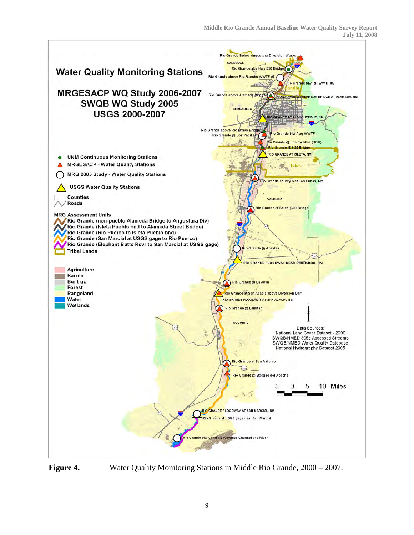<span id="page-14-0"></span>

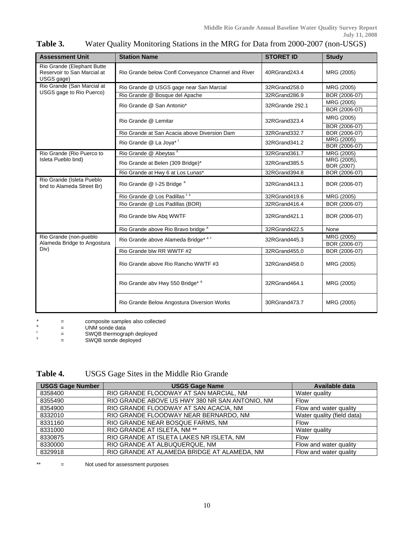| <b>Assessment Unit</b>                                                  | <b>Station Name</b>                                 | <b>STORET ID</b> | <b>Study</b>                   |
|-------------------------------------------------------------------------|-----------------------------------------------------|------------------|--------------------------------|
| Rio Grande (Elephant Butte<br>Reservoir to San Marcial at<br>USGS gage) | Rio Grande below Confl Conveyance Channel and River | 40RGrand243.4    | MRG (2005)                     |
| Rio Grande (San Marcial at                                              | Rio Grande @ USGS gage near San Marcial             | 32RGrand258.0    | MRG (2005)                     |
| USGS gage to Rio Puerco)                                                | Rio Grande @ Bosque del Apache                      | 32RGrand286.9    | BOR (2006-07)                  |
|                                                                         | Rio Grande @ San Antonio*                           | 32RGrande 292.1  | MRG (2005)<br>BOR (2006-07)    |
|                                                                         | Rio Grande @ Lemitar                                | 32RGrand323.4    | MRG (2005)                     |
|                                                                         | Rio Grande at San Acacia above Diversion Dam        | 32RGrand332.7    | BOR (2006-07)<br>BOR (2006-07) |
|                                                                         |                                                     |                  | MRG (2005)                     |
|                                                                         | Rio Grande @ La Joya* <sup>t</sup>                  | 32RGrand341.2    | BOR (2006-07)                  |
| Rio Grande (Rio Puerco to                                               | Rio Grande @ Abeytas <sup>s</sup>                   | 32RGrand361.7    | MRG (2005)                     |
| Isleta Pueblo bnd)                                                      | Rio Grande at Belen (309 Bridge)*                   | 32RGrand385.5    | MRG (2005),<br>BOR (2007)      |
|                                                                         | Rio Grande at Hwy 6 at Los Lunas*                   | 32RGrand394.8    | BOR (2006-07)                  |
| Rio Grande (Isleta Pueblo<br>bnd to Alameda Street Br)                  | Rio Grande @ I-25 Bridge <sup>a</sup>               | 32RGrand413.1    | BOR (2006-07)                  |
|                                                                         | Rio Grande @ Los Padillas <sup>ts</sup>             | 32RGrand419.6    | MRG (2005)                     |
|                                                                         | Rio Grande @ Los Padillas (BOR)                     | 32RGrand416.4    | BOR (2006-07)                  |
|                                                                         | Rio Grande blw Abq WWTF                             | 32RGrand421.1    | BOR (2006-07)                  |
|                                                                         | Rio Grande above Rio Bravo bridge <sup>a</sup>      | 32RGrand422.5    | None                           |
| Rio Grande (non-pueblo<br>Alameda Bridge to Angostura                   | Rio Grande above Alameda Bridge* a t                | 32RGrand445.3    | MRG (2005)<br>BOR (2006-07)    |
| Div)                                                                    | Rio Grande blw RR WWTF #2                           | 32RGrand455.0    | BOR (2006-07)                  |
|                                                                         | Rio Grande above Rio Rancho WWTF #3                 | 32RGrand458.0    | MRG (2005)                     |
|                                                                         | Rio Grande abv Hwy 550 Bridge* a                    | 32RGrand464.1    | MRG (2005)                     |
|                                                                         | Rio Grande Below Angostura Diversion Works          | 30RGrand473.7    | MRG (2005)                     |

<span id="page-15-0"></span>

| Table 3. | Water Quality Monitoring Stations in the MRG for Data from 2000-2007 (non-USGS) |  |
|----------|---------------------------------------------------------------------------------|--|
|----------|---------------------------------------------------------------------------------|--|

\* = composite samples also collected

a = UNM sonde data

t = SWQB thermograph deployed s

= SWQB sonde deployed

## **Table 4.** USGS Gage Sites in the Middle Rio Grande

| <b>USGS Gage Number</b> | <b>USGS Gage Name</b>                          | Available data             |
|-------------------------|------------------------------------------------|----------------------------|
| 8358400                 | RIO GRANDE FLOODWAY AT SAN MARCIAL, NM         | Water quality              |
| 8355490                 | RIO GRANDE ABOVE US HWY 380 NR SAN ANTONIO, NM | Flow                       |
| 8354900                 | RIO GRANDE FLOODWAY AT SAN ACACIA, NM          | Flow and water quality     |
| 8332010                 | RIO GRANDE FLOODWAY NEAR BERNARDO, NM          | Water quality (field data) |
| 8331160                 | RIO GRANDE NEAR BOSQUE FARMS, NM               | Flow                       |
| 8331000                 | RIO GRANDE AT ISLETA, NM **                    | Water quality              |
| 8330875                 | RIO GRANDE AT ISLETA LAKES NR ISLETA, NM       | Flow                       |
| 8330000                 | RIO GRANDE AT ALBUQUERQUE, NM                  | Flow and water quality     |
| 8329918                 | RIO GRANDE AT ALAMEDA BRIDGE AT ALAMEDA, NM    | Flow and water quality     |

\*\* = Not used for assessment purposes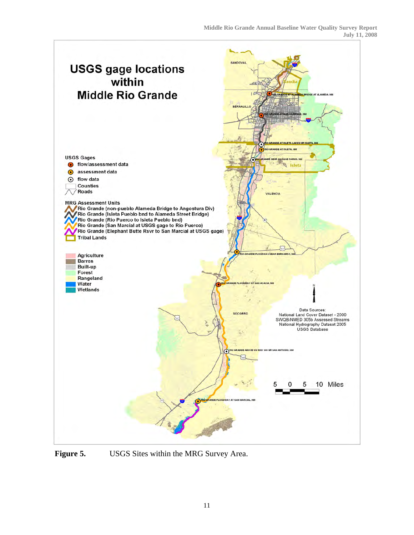<span id="page-16-0"></span>

**Figure 5.** USGS Sites within the MRG Survey Area.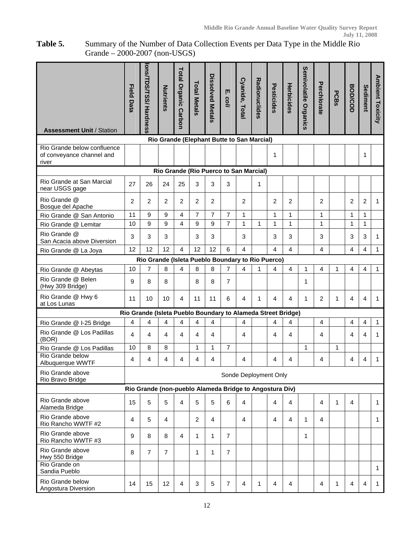<span id="page-17-0"></span>Table 5. Summary of the Number of Data Collection Events per Data Type in the Middle Rio Grande – 2000-2007 (non-USGS)

| <b>Assessment Unit / Station</b>                                  | <b>Field Data</b> | Ions/TDS/TSS/ Hardness                                       | <b>Nutrients</b> | <b>Total Organic Carbon</b> | <b>Total Metals</b> | <b>Dissolved Metals</b> | ŗ<br>. coli    | Cyanide, Tota | Radionuclides                              | Pesticides | Herbicides   | Semivolatile Organics | Perchlorate    | <b>PCBS</b>  | <b>BOD/COD</b> | <b>Sediment</b> | Ambient Toxicity |
|-------------------------------------------------------------------|-------------------|--------------------------------------------------------------|------------------|-----------------------------|---------------------|-------------------------|----------------|---------------|--------------------------------------------|------------|--------------|-----------------------|----------------|--------------|----------------|-----------------|------------------|
|                                                                   |                   |                                                              |                  |                             |                     |                         |                |               | Rio Grande (Elephant Butte to San Marcial) |            |              |                       |                |              |                |                 |                  |
| Rio Grande below confluence<br>of conveyance channel and<br>river |                   |                                                              |                  |                             |                     |                         |                |               |                                            | 1          |              |                       |                |              |                | 1               |                  |
|                                                                   |                   |                                                              |                  |                             |                     |                         |                |               | Rio Grande (Rio Puerco to San Marcial)     |            |              |                       |                |              |                |                 |                  |
| Rio Grande at San Marcial<br>near USGS gage                       | 27                | 26                                                           | 24               | 25                          | 3                   | 3                       | 3              |               | 1                                          |            |              |                       |                |              |                |                 |                  |
| Rio Grande @<br>Bosque del Apache                                 | $\overline{2}$    | $\overline{c}$                                               | $\overline{2}$   | 2                           | 2                   | $\overline{2}$          |                | 2             |                                            | 2          | 2            |                       | 2              |              | 2              | 2               | 1                |
| Rio Grande @ San Antonio                                          | 11                | 9                                                            | 9                | 4                           | $\overline{7}$      | $\overline{7}$          | $\overline{7}$ | 1             |                                            | 1          | $\mathbf{1}$ |                       | 1              |              | $\mathbf{1}$   | 1               |                  |
| Rio Grande @ Lemitar                                              | 10                | 9                                                            | 9                | 4                           | 9                   | 9                       | $\overline{7}$ | 1             | 1                                          | 1          | 1            |                       | $\mathbf{1}$   |              | 1              | 1               |                  |
| Rio Grande @<br>San Acacia above Diversion                        | 3                 | 3                                                            | 3                |                             | 3                   | 3                       |                | 3             |                                            | 3          | 3            |                       | 3              |              | 3              | 3               | 1                |
| Rio Grande @ La Joya                                              | 12                | 12                                                           | 12               | 4                           | 12                  | 12                      | 6              | 4             |                                            | 4          | 4            |                       | 4              |              | 4              | 4               | 1                |
|                                                                   |                   | Rio Grande (Isleta Pueblo Boundary to Rio Puerco)            |                  |                             |                     |                         |                |               |                                            |            |              |                       |                |              |                |                 |                  |
| Rio Grande @ Abeytas                                              | 10                | 7                                                            | 8                | 4                           | 8                   | 8                       | 7              | 4             | 1                                          | 4          | 4            | 1                     | 4              | 1            | 4              | 4               | 1                |
| Rio Grande @ Belen<br>(Hwy 309 Bridge)                            | 9                 | 8                                                            | 8                |                             | 8                   | 8                       | 7              |               |                                            |            |              | 1                     |                |              |                |                 |                  |
| Rio Grande @ Hwy 6<br>at Los Lunas                                | 11                | 10                                                           | 10               | 4                           | 11                  | 11                      | 6              | 4             | 1                                          | 4          | 4            | 1                     | 2              | 1            | 4              | 4               | 1                |
|                                                                   |                   | Rio Grande (Isleta Pueblo Boundary to Alameda Street Bridge) |                  |                             |                     |                         |                |               |                                            |            |              |                       |                |              |                |                 |                  |
| Rio Grande @ I-25 Bridge                                          | 4                 | 4                                                            | 4                | 4                           | 4                   | 4                       |                | 4             |                                            | 4          | 4            |                       | $\overline{4}$ |              | 4              | 4               | 1                |
| Rio Grande @ Los Padillas<br>(BOR)                                | 4                 | 4                                                            | 4                | 4                           | 4                   | 4                       |                | 4             |                                            | 4          | 4            |                       | 4              |              | 4              | 4               | 1                |
| Rio Grande @ Los Padillas                                         | 10                | 8                                                            | 8                |                             | 1                   | 1                       | 7              |               |                                            |            |              | $\mathbf{1}$          |                | $\mathbf{1}$ |                |                 |                  |
| Rio Grande below<br>Albuguerque WWTF                              | 4                 | 4                                                            | 4                | 4                           | 4                   | 4                       |                | 4             |                                            | 4          | 4            |                       | 4              |              | 4              | 4               | 1                |
| Rio Grande above<br>Rio Bravo Bridge                              |                   |                                                              |                  |                             |                     |                         |                |               | Sonde Deployment Only                      |            |              |                       |                |              |                |                 |                  |
|                                                                   |                   | Rio Grande (non-pueblo Alameda Bridge to Angostura Div)      |                  |                             |                     |                         |                |               |                                            |            |              |                       |                |              |                |                 |                  |
| Rio Grande above<br>Alameda Bridge                                | 15                | 5                                                            | 5                | 4                           | 5                   | 5                       | 6              | 4             |                                            | 4          | 4            |                       | $\overline{4}$ | $\mathbf{1}$ | $\overline{4}$ |                 | $\mathbf{1}$     |
| Rio Grande above<br>Rio Rancho WWTF #2                            | 4                 | $\overline{5}$                                               | $\overline{4}$   |                             | $\overline{2}$      | $\overline{4}$          |                | 4             |                                            | 4          | 4            | 1                     | 4              |              |                |                 | $\mathbf{1}$     |
| Rio Grande above<br>Rio Rancho WWTF #3                            | 9                 | 8                                                            | 8                | 4                           | 1                   | 1                       | $\overline{7}$ |               |                                            |            |              | 1                     |                |              |                |                 |                  |
| Rio Grande above<br>Hwy 550 Bridge                                | 8                 | $\overline{7}$                                               | $\overline{7}$   |                             | 1                   | 1                       | $\overline{7}$ |               |                                            |            |              |                       |                |              |                |                 |                  |
| Rio Grande on<br>Sandia Pueblo                                    |                   |                                                              |                  |                             |                     |                         |                |               |                                            |            |              |                       |                |              |                |                 | $\mathbf{1}$     |
| Rio Grande below<br>Angostura Diversion                           | 14                | 15                                                           | 12               | 4                           | $\mathbf{3}$        | 5                       | $\overline{7}$ | 4             | 1                                          | 4          | 4            |                       | 4              | 1            | $\overline{4}$ | 4               | $\mathbf{1}$     |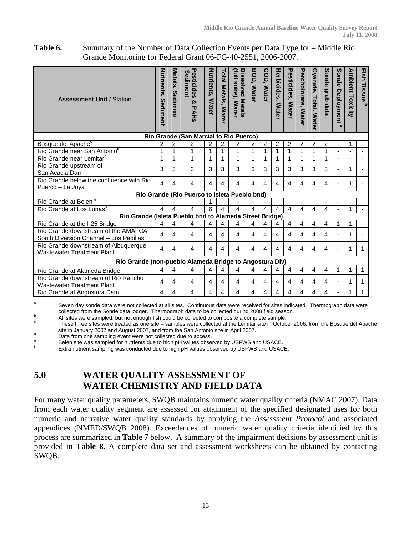<span id="page-18-0"></span>Table 6. Summary of the Number of Data Collection Events per Data Type for – Middle Rio Grande Monitoring for Federal Grant 06-FG-40-2551, 2006-2007.

| <b>Assessment Unit / Station</b>                                              | Nutrients,<br>Sediment  | Metals,<br>Sediment | Pesticides<br>Sediment<br>ନ୍ତ<br>PAHIS                   | Nutrients,<br><b>Water</b> | <b>Total Metals, Water</b> | (full<br><b>Dissolved Metals</b><br>suite),<br><b>Water</b> | BOD, Water | COD, Water              | Herbicides, Water        | Pesticides, Water | Percholorate,<br><b>Water</b> | Cyanide, Total, Water | Sonde<br>grab data | Sonde Deployment<br>$\mathbf{a}$ | <b>Ambient Toxicity</b> | Fish Tissue <sup>b</sup> |
|-------------------------------------------------------------------------------|-------------------------|---------------------|----------------------------------------------------------|----------------------------|----------------------------|-------------------------------------------------------------|------------|-------------------------|--------------------------|-------------------|-------------------------------|-----------------------|--------------------|----------------------------------|-------------------------|--------------------------|
| Bosque del Apache <sup>c</sup>                                                | $\overline{2}$          | $\overline{2}$      | Rio Grande (San Marcial to Rio Puerco)<br>$\overline{2}$ | $\overline{2}$             | $\overline{2}$             | $\overline{2}$                                              | 2          | $\overline{2}$          | $\overline{2}$           | $\overline{2}$    | $\overline{2}$                | $\overline{2}$        | $\overline{2}$     |                                  |                         |                          |
| Rio Grande near San Antonio <sup>c</sup>                                      | 1                       | 1                   | 1                                                        | 1                          | 1                          | 1                                                           |            | 1                       | 1                        | 1                 | 1                             | 1                     | 1                  |                                  |                         | $\blacksquare$           |
| Rio Grande near Lemitar <sup>c</sup>                                          | 1                       | 1                   | 1                                                        | 1                          | 1                          | 1                                                           | 1          | 1                       | 1                        | 1                 | 1                             | 1                     | $\mathbf{1}$       |                                  | ÷,                      | $\blacksquare$           |
| Rio Grande upstream of<br>San Acacia Dam <sup>d</sup>                         | 3                       | 3                   | 3                                                        | 3                          | 3                          | 3                                                           | 3          | 3                       | 3                        | 3                 | 3                             | 3                     | 3                  |                                  | 1                       |                          |
| Rio Grande below the confluence with Rio<br>Puerco - La Joya                  | 4                       | 4                   | 4                                                        | 4                          | 4                          | 4                                                           | 4          | 4                       | 4                        | 4                 | 4                             | 4                     | $\overline{4}$     |                                  | 1                       |                          |
|                                                                               |                         |                     | Rio Grande (Rio Puerco to Isleta Pueblo bnd)             |                            |                            |                                                             |            |                         |                          |                   |                               |                       |                    |                                  |                         |                          |
| Rio Grande at Belen <sup>e</sup>                                              |                         |                     |                                                          |                            |                            |                                                             |            |                         | $\overline{\phantom{a}}$ | ä,                |                               | $\blacksquare$        |                    |                                  | ٠                       | $\blacksquare$           |
| Rio Grande at Los Lunas                                                       | $\overline{A}$          | 4                   | 4                                                        | 6                          | 4                          | 4                                                           | 4          | 4                       | 4                        | 4                 | 4                             | 4                     | 4                  |                                  | 1                       |                          |
| Rio Grande (Isleta Pueblo bnd to Alameda Street Bridge)                       |                         |                     |                                                          |                            |                            |                                                             |            |                         |                          |                   |                               |                       |                    |                                  |                         |                          |
| Rio Grande at the I-25 Bridge                                                 | 4                       | 4                   | 4                                                        | 4                          | 4                          | 4                                                           | 4          | 4                       | 4                        | 4                 | 4                             | 4                     | 4                  |                                  |                         | $\blacksquare$           |
| Rio Grande downstream of the AMAFCA<br>South Diversion Channel - Los Padillas | $\overline{4}$          | 4                   | 4                                                        | 4                          | 4                          | 4                                                           | 4          | $\overline{\mathbf{4}}$ | 4                        | 4                 | 4                             | 4                     | $\overline{4}$     |                                  | 1                       |                          |
| Rio Grande downstream of Albuquerque<br><b>Wastewater Treatment Plant</b>     | $\overline{\mathbf{4}}$ | $\overline{4}$      | 4                                                        | 4                          | 4                          | 4                                                           | 4          | 4                       | $\overline{4}$           | 4                 | 4                             | 4                     | $\overline{4}$     |                                  | 1                       | 1                        |
| Rio Grande (non-pueblo Alameda Bridge to Angostura Div)                       |                         |                     |                                                          |                            |                            |                                                             |            |                         |                          |                   |                               |                       |                    |                                  |                         |                          |
| Rio Grande at Alameda Bridge                                                  | 4                       | 4                   | 4                                                        | 4                          | 4                          | 4                                                           | 4          | 4                       | 4                        | 4                 | 4                             | 4                     | $\overline{4}$     | 1                                | 1                       | 1                        |
| Rio Grande downstream of Rio Rancho<br><b>Wastewater Treatment Plant</b>      | 4                       | 4                   | 4                                                        | 4                          | $\overline{4}$             | 4                                                           | 4          | 4                       | 4                        | 4                 | 4                             | 4                     | 4                  |                                  | 1                       | 1                        |
| Rio Grande at Angostura Dam                                                   | 4                       | 4                   | 4                                                        | 4                          | 4                          | 4                                                           | 4          | 4                       | 4                        | 4                 | 4                             | 4                     | 4                  |                                  |                         | 1                        |

a Seven day sonde data were not collected at all sites. Continuous data were received for sites indicated. Thermograph data were collected from the Sonde data logger. Thermograph data to be collected during 2008 field season.

All sites were sampled, but not enough fish could be collected to composite a complete sample.

These three sites were treated as one site – samples were collected at the Lemitar site in October 2006, from the Bosque del Apache site in January 2007 and August 2007, and from the San Antonio site in April 2007.

d Data from one sampling event were not collected due to access.

e Belen site was sampled for nutrients due to high pH values observed by USFWS and USACE.

Extra nutrient sampling was conducted due to high pH values observed by USFWS and USACE.

## **5.0 WATER QUALITY ASSESSMENT OF WATER CHEMISTRY AND FIELD DATA**

For many water quality parameters, SWQB maintains numeric water quality criteria [\(NMAC 2007\).](#page-39-0) Data from each water quality segment are assessed for attainment of the specified designated uses for both numeric and narrative water quality standards by applying the *Assessment Protocol* and associated appendices [\(NMED/SWQB 2008\).](#page-39-0) Exceedences of numeric water quality criteria identified by this process are summarized in **[Table 7](#page-20-0)** below. A summary of the impairment decisions by assessment unit is provided in **[Table 8](#page-22-0)**. A complete data set and assessment worksheets can be obtained by contacting SWQB.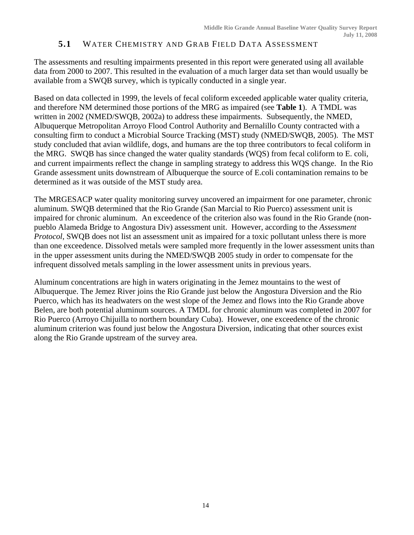## **5.1** WATER CHEMISTRY AND GRAB FIELD DATA ASSESSMENT

The assessments and resulting impairments presented in this report were generated using all available data from 2000 to 2007. This resulted in the evaluation of a much larger data set than would usually be available from a SWQB survey, which is typically conducted in a single year.

Based on data collected in 1999, the levels of fecal coliform exceeded applicable water quality criteria, and therefore NM determined those portions of the MRG as impaired (see **[Table 1](#page-11-0)**). A TMDL was written in 2002 [\(NMED/SWQB, 2002a\)](#page-39-0) to address these impairments. Subsequently, the NMED, Albuquerque Metropolitan Arroyo Flood Control Authority and Bernalillo County contracted with a consulting firm to conduct a Microbial Source Tracking (MST) study [\(NMED/SWQB, 2005\).](#page-39-0) The MST study concluded that avian wildlife, dogs, and humans are the top three contributors to fecal coliform in the MRG. SWQB has since changed the water quality standards (WQS) from fecal coliform to E. coli, and current impairments reflect the change in sampling strategy to address this WQS change. In the Rio Grande assessment units downstream of Albuquerque the source of E.coli contamination remains to be determined as it was outside of the MST study area.

The MRGESACP water quality monitoring survey uncovered an impairment for one parameter, chronic aluminum. SWQB determined that the Rio Grande (San Marcial to Rio Puerco) assessment unit is impaired for chronic aluminum. An exceedence of the criterion also was found in the Rio Grande (nonpueblo Alameda Bridge to Angostura Div) assessment unit. However, according to the *Assessment Protocol*, SWQB does not list an assessment unit as impaired for a toxic pollutant unless there is more than one exceedence. Dissolved metals were sampled more frequently in the lower assessment units than in the upper assessment units during the NMED/SWQB 2005 study in order to compensate for the infrequent dissolved metals sampling in the lower assessment units in previous years.

Aluminum concentrations are high in waters originating in the Jemez mountains to the west of Albuquerque. The Jemez River joins the Rio Grande just below the Angostura Diversion and the Rio Puerco, which has its headwaters on the west slope of the Jemez and flows into the Rio Grande above Belen, are both potential aluminum sources. A TMDL for chronic aluminum was completed in 2007 for Rio Puerco (Arroyo Chijuilla to northern boundary Cuba). However, one exceedence of the chronic aluminum criterion was found just below the Angostura Diversion, indicating that other sources exist along the Rio Grande upstream of the survey area.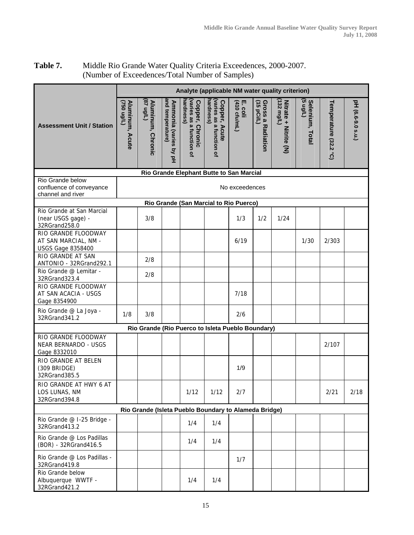|                                                                         | Analyte (applicable NM water quality criterion) |                                        |                                           |                                                               |                                                      |                           |                                 |                                     |                            |                       |                   |  |
|-------------------------------------------------------------------------|-------------------------------------------------|----------------------------------------|-------------------------------------------|---------------------------------------------------------------|------------------------------------------------------|---------------------------|---------------------------------|-------------------------------------|----------------------------|-----------------------|-------------------|--|
| <b>Assessment Unit / Station</b>                                        | Aluminum,<br>(750 ug/L)<br>Acute                | Aluminum, Chronic<br>(87 սց/L)         | and temperature)<br>Ammonia (varies by pH | varies as a function of<br>ardness)<br><b>Copper, Chronic</b> | varies as a function of<br>ardness)<br>Copper, Acute | Ţ<br>(410 cfu/mL)<br>coli | Gross a Radiation<br>(15 pCi/L) | Nitrate + Nitrite (N)<br>(132 mg/L) | Selenium, Tota<br>(5 ug/L) | Temperature (32.2 °C) | pH (6.6-9.0 s.u.) |  |
|                                                                         |                                                 |                                        |                                           | Rio Grande Elephant Butte to San Marcial                      |                                                      |                           |                                 |                                     |                            |                       |                   |  |
| Rio Grande below<br>confluence of conveyance<br>channel and river       |                                                 | No exceedences                         |                                           |                                                               |                                                      |                           |                                 |                                     |                            |                       |                   |  |
|                                                                         |                                                 | Rio Grande (San Marcial to Rio Puerco) |                                           |                                                               |                                                      |                           |                                 |                                     |                            |                       |                   |  |
| Rio Grande at San Marcial<br>(near USGS gage) -<br>32RGrand258.0        |                                                 | 3/8                                    |                                           |                                                               |                                                      | 1/3                       | 1/2                             | 1/24                                |                            |                       |                   |  |
| RIO GRANDE FLOODWAY<br>AT SAN MARCIAL, NM -<br><b>USGS Gage 8358400</b> |                                                 |                                        |                                           |                                                               |                                                      | 6/19                      |                                 |                                     | 1/30                       | 2/303                 |                   |  |
| RIO GRANDE AT SAN<br>ANTONIO - 32RGrand292.1                            |                                                 | 2/8                                    |                                           |                                                               |                                                      |                           |                                 |                                     |                            |                       |                   |  |
| Rio Grande @ Lemitar -<br>32RGrand323.4                                 |                                                 | 2/8                                    |                                           |                                                               |                                                      |                           |                                 |                                     |                            |                       |                   |  |
| RIO GRANDE FLOODWAY<br>AT SAN ACACIA - USGS<br>Gage 8354900             |                                                 |                                        |                                           |                                                               |                                                      | 7/18                      |                                 |                                     |                            |                       |                   |  |
| Rio Grande @ La Joya -<br>32RGrand341.2                                 | 1/8                                             | 3/8                                    |                                           |                                                               |                                                      | 2/6                       |                                 |                                     |                            |                       |                   |  |
|                                                                         |                                                 |                                        |                                           | Rio Grande (Rio Puerco to Isleta Pueblo Boundary)             |                                                      |                           |                                 |                                     |                            |                       |                   |  |
| RIO GRANDE FLOODWAY<br><b>NEAR BERNARDO - USGS</b><br>Gage 8332010      |                                                 |                                        |                                           |                                                               |                                                      |                           |                                 |                                     |                            | 2/107                 |                   |  |
| RIO GRANDE AT BELEN<br>(309 BRIDGE)<br>32RGrand385.5                    |                                                 |                                        |                                           |                                                               |                                                      | 1/9                       |                                 |                                     |                            |                       |                   |  |
| RIO GRANDE AT HWY 6 AT<br>LOS LUNAS, NM<br>32RGrand394.8                |                                                 |                                        |                                           | 1/12                                                          | 1/12                                                 | 2/7                       |                                 |                                     |                            | 2/21                  | 2/18              |  |
|                                                                         |                                                 |                                        |                                           | Rio Grande (Isleta Pueblo Boundary to Alameda Bridge)         |                                                      |                           |                                 |                                     |                            |                       |                   |  |
| Rio Grande @ I-25 Bridge -<br>32RGrand413.2                             |                                                 |                                        |                                           | 1/4                                                           | 1/4                                                  |                           |                                 |                                     |                            |                       |                   |  |
| Rio Grande @ Los Padillas<br>(BOR) - 32RGrand416.5                      |                                                 |                                        |                                           | 1/4                                                           | 1/4                                                  |                           |                                 |                                     |                            |                       |                   |  |
| Rio Grande @ Los Padillas -<br>32RGrand419.8                            |                                                 |                                        |                                           |                                                               |                                                      | 1/7                       |                                 |                                     |                            |                       |                   |  |
| Rio Grande below<br>Albuquerque WWTF -<br>32RGrand421.2                 |                                                 |                                        |                                           | 1/4                                                           | 1/4                                                  |                           |                                 |                                     |                            |                       |                   |  |

#### <span id="page-20-0"></span>Table 7. Middle Rio Grande Water Quality Criteria Exceedences, 2000-2007. (Number of Exceedences/Total Number of Samples)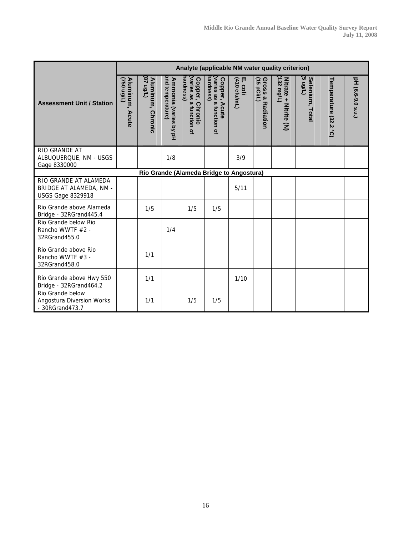|                                                                              | Analyte (applicable NM water quality criterion) |                                |                                                     |                                                                                    |                                                          |                                  |                                 |                                              |                             |                       |                   |
|------------------------------------------------------------------------------|-------------------------------------------------|--------------------------------|-----------------------------------------------------|------------------------------------------------------------------------------------|----------------------------------------------------------|----------------------------------|---------------------------------|----------------------------------------------|-----------------------------|-----------------------|-------------------|
| <b>Assessment Unit / Station</b>                                             | Aluminum,<br>(750 ug/L)<br>Acute                | (7/6n 18)<br>Aluminum, Chronic | and temperature)<br><b>Ammonia (varies</b><br>Hq yd | varies as<br>ardness)<br>Copper,<br>a function<br><b>Chronic</b><br>$\overline{Q}$ | varies as a function of<br>lardness)<br>Copper,<br>Acute | (410 ctu/mL)<br>Ţ<br>$rac{1}{2}$ | Gross a Radiation<br>(15 pCi/L) | 132 mg/L)<br>Nitrate +<br><b>Nitrite (N)</b> | Selenium, Total<br>(5 ug/L) | Temperature (32.2 °C) | pH (6.6-9.0 s.u.) |
| <b>RIO GRANDE AT</b><br>ALBUQUERQUE, NM - USGS<br>Gage 8330000               |                                                 |                                | 1/8                                                 |                                                                                    |                                                          | 3/9                              |                                 |                                              |                             |                       |                   |
|                                                                              |                                                 |                                |                                                     |                                                                                    | Rio Grande (Alameda Bridge to Angostura)                 |                                  |                                 |                                              |                             |                       |                   |
| RIO GRANDE AT ALAMEDA<br>BRIDGE AT ALAMEDA, NM -<br><b>USGS Gage 8329918</b> |                                                 |                                |                                                     |                                                                                    |                                                          | 5/11                             |                                 |                                              |                             |                       |                   |
| Rio Grande above Alameda<br>Bridge - 32RGrand445.4                           |                                                 | 1/5                            |                                                     | 1/5                                                                                | 1/5                                                      |                                  |                                 |                                              |                             |                       |                   |
| Rio Grande below Rio<br>Rancho WWTF #2 -<br>32RGrand455.0                    |                                                 |                                | 1/4                                                 |                                                                                    |                                                          |                                  |                                 |                                              |                             |                       |                   |
| Rio Grande above Rio<br>Rancho WWTF #3 -<br>32RGrand458.0                    |                                                 | 1/1                            |                                                     |                                                                                    |                                                          |                                  |                                 |                                              |                             |                       |                   |
| Rio Grande above Hwy 550<br>Bridge - 32RGrand464.2                           |                                                 | 1/1                            |                                                     |                                                                                    |                                                          | 1/10                             |                                 |                                              |                             |                       |                   |
| Rio Grande below<br>Angostura Diversion Works<br>- 30RGrand473.7             |                                                 | 1/1                            |                                                     | 1/5                                                                                | 1/5                                                      |                                  |                                 |                                              |                             |                       |                   |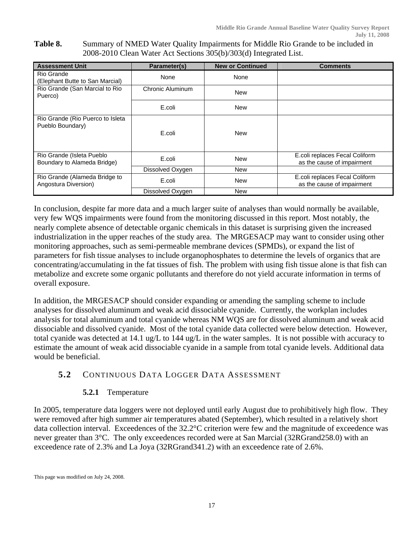#### <span id="page-22-0"></span>Table 8. Summary of NMED Water Quality Impairments for Middle Rio Grande to be included in 2008-2010 Clean Water Act Sections 305(b)/303(d) Integrated List.

| <b>Assessment Unit</b>                                   | Parameter(s)     | <b>New or Continued</b> | <b>Comments</b>                                              |
|----------------------------------------------------------|------------------|-------------------------|--------------------------------------------------------------|
| Rio Grande<br>(Elephant Butte to San Marcial)            | None             | None                    |                                                              |
| Rio Grande (San Marcial to Rio<br>Puerco)                | Chronic Aluminum | <b>New</b>              |                                                              |
|                                                          | E.coli           | <b>New</b>              |                                                              |
| Rio Grande (Rio Puerco to Isleta<br>Pueblo Boundary)     | E.coli           | <b>New</b>              |                                                              |
| Rio Grande (Isleta Pueblo<br>Boundary to Alameda Bridge) | E.coli           | <b>New</b>              | E.coli replaces Fecal Coliform<br>as the cause of impairment |
|                                                          | Dissolved Oxygen | New                     |                                                              |
| Rio Grande (Alameda Bridge to<br>Angostura Diversion)    | E.coli           | <b>New</b>              | E.coli replaces Fecal Coliform<br>as the cause of impairment |
|                                                          | Dissolved Oxygen | New                     |                                                              |

In conclusion, despite far more data and a much larger suite of analyses than would normally be available, very few WQS impairments were found from the monitoring discussed in this report. Most notably, the nearly complete absence of detectable organic chemicals in this dataset is surprising given the increased industrialization in the upper reaches of the study area. The MRGESACP may want to consider using other monitoring approaches, such as semi-permeable membrane devices (SPMDs), or expand the list of parameters for fish tissue analyses to include organophosphates to determine the levels of organics that are concentrating/accumulating in the fat tissues of fish. The problem with using fish tissue alone is that fish can metabolize and excrete some organic pollutants and therefore do not yield accurate information in terms of overall exposure.

In addition, the MRGESACP should consider expanding or amending the sampling scheme to include analyses for dissolved aluminum and weak acid dissociable cyanide. Currently, the workplan includes analysis for total aluminum and total cyanide whereas NM WQS are for dissolved aluminum and weak acid dissociable and dissolved cyanide. Most of the total cyanide data collected were below detection. However, total cyanide was detected at 14.1 ug/L to 144 ug/L in the water samples. It is not possible with accuracy to estimate the amount of weak acid dissociable cyanide in a sample from total cyanide levels. Additional data would be beneficial.

## **5.2** CONTINUOUS DATA LOGGER DATA ASSESSMENT

### **5.2.1** Temperature

In 2005, temperature data loggers were not deployed until early August due to prohibitively high flow. They were removed after high summer air temperatures abated (September), which resulted in a relatively short data collection interval. Exceedences of the 32.2°C criterion were few and the magnitude of exceedence was never greater than 3°C. The only exceedences recorded were at San Marcial (32RGrand258.0) with an exceedence rate of 2.3% and La Joya (32RGrand341.2) with an exceedence rate of 2.6%.

This page was modified on July 24, 2008.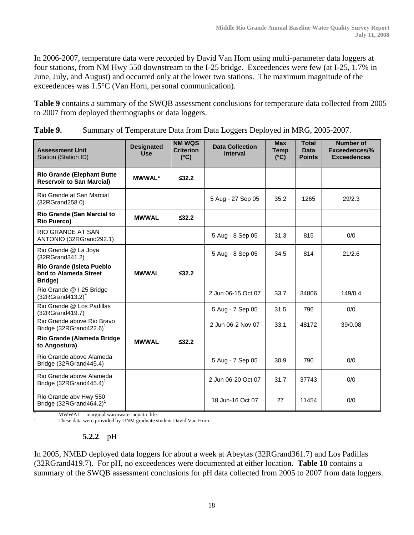<span id="page-23-0"></span>In 2006-2007, temperature data were recorded by David Van Horn using multi-parameter data loggers at four stations, from NM Hwy 550 downstream to the I-25 bridge. Exceedences were few (at I-25, 1.7% in June, July, and August) and occurred only at the lower two stations. The maximum magnitude of the exceedences was 1.5°C [\(Van Horn, personal communication\).](#page-40-0)

**Table 9** contains a summary of the SWQB assessment conclusions for temperature data collected from 2005 to 2007 from deployed thermographs or data loggers.

| <b>Assessment Unit</b><br>Station (Station ID)                        | <b>Designated</b><br><b>Use</b> | <b>NM WQS</b><br><b>Criterion</b><br>$(^{\circ}C)$ | <b>Data Collection</b><br><b>Interval</b> | <b>Max</b><br><b>Temp</b><br>$(^{\circ}C)$ | <b>Total</b><br>Data<br><b>Points</b> | Number of<br>Exceedences/%<br><b>Exceedences</b> |
|-----------------------------------------------------------------------|---------------------------------|----------------------------------------------------|-------------------------------------------|--------------------------------------------|---------------------------------------|--------------------------------------------------|
| <b>Rio Grande (Elephant Butte</b><br><b>Reservoir to San Marcial)</b> | <b>MWWAL*</b>                   | $\leq 32.2$                                        |                                           |                                            |                                       |                                                  |
| Rio Grande at San Marcial<br>(32RGrand258.0)                          |                                 |                                                    | 5 Aug - 27 Sep 05                         | 35.2                                       | 1265                                  | 29/2.3                                           |
| Rio Grande (San Marcial to<br><b>Rio Puerco)</b>                      | <b>MWWAL</b>                    | $\leq 32.2$                                        |                                           |                                            |                                       |                                                  |
| RIO GRANDE AT SAN<br>ANTONIO (32RGrand292.1)                          |                                 |                                                    | 5 Aug - 8 Sep 05                          | 31.3                                       | 815                                   | 0/0                                              |
| Rio Grande @ La Joya<br>(32RGrand341.2)                               |                                 |                                                    | 5 Aug - 8 Sep 05                          | 34.5                                       | 814                                   | 21/2.6                                           |
| Rio Grande (Isleta Pueblo<br>bnd to Alameda Street<br>Bridge)         | <b>MWWAL</b>                    | $\leq 32.2$                                        |                                           |                                            |                                       |                                                  |
| Rio Grande @ I-25 Bridge<br>$(32RGrand413.2)^+$                       |                                 |                                                    | 2 Jun 06-15 Oct 07                        | 33.7                                       | 34806                                 | 149/0.4                                          |
| Rio Grande @ Los Padillas<br>(32RGrand419.7)                          |                                 |                                                    | 5 Aug - 7 Sep 05                          | 31.5                                       | 796                                   | 0/0                                              |
| Rio Grande above Rio Bravo<br>Bridge $(32RGrand422.6)^T$              |                                 |                                                    | 2 Jun 06-2 Nov 07                         | 33.1                                       | 48172                                 | 39/0.08                                          |
| Rio Grande (Alameda Bridge<br>to Angostura)                           | <b>MWWAL</b>                    | $\leq 32.2$                                        |                                           |                                            |                                       |                                                  |
| Rio Grande above Alameda<br>Bridge (32RGrand445.4)                    |                                 |                                                    | 5 Aug - 7 Sep 05                          | 30.9                                       | 790                                   | 0/0                                              |
| Rio Grande above Alameda<br>Bridge $(32RG$ rand $445.4)^1$            |                                 |                                                    | 2 Jun 06-20 Oct 07                        | 31.7                                       | 37743                                 | 0/0                                              |
| Rio Grande abv Hwy 550<br>Bridge (32RGrand464.2) <sup>1</sup>         |                                 |                                                    | 18 Jun-16 Oct 07                          | 27                                         | 11454                                 | 0/0                                              |

| Table 9. |  |  | Summary of Temperature Data from Data Loggers Deployed in MRG, 2005-2007. |  |
|----------|--|--|---------------------------------------------------------------------------|--|
|          |  |  |                                                                           |  |

\* MWWAL = marginal warmwater aquatic life. + These data were provided by UNM graduate student David Van Horn

### **5.2.2** pH

In 2005, NMED deployed data loggers for about a week at Abeytas (32RGrand361.7) and Los Padillas (32RGrand419.7). For pH, no exceedences were documented at either location. **[Table 10](#page-25-0)** contains a summary of the SWQB assessment conclusions for pH data collected from 2005 to 2007 from data loggers.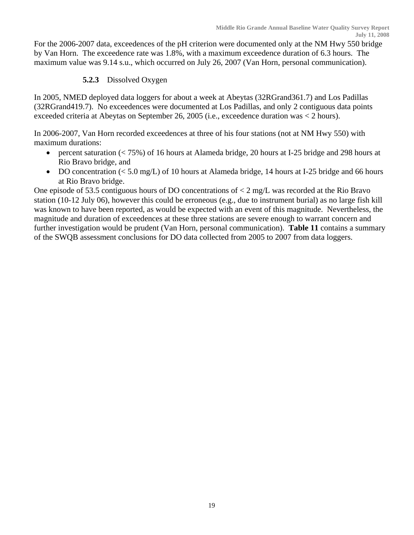For the 2006-2007 data, exceedences of the pH criterion were documented only at the NM Hwy 550 bridge by Van Horn. The exceedence rate was 1.8%, with a maximum exceedence duration of 6.3 hours. The maximum value was 9.14 s.u., which occurred on July 26, 2007 [\(Van Horn, personal communication\).](#page-40-0) 

#### **5.2.3** Dissolved Oxygen

In 2005, NMED deployed data loggers for about a week at Abeytas (32RGrand361.7) and Los Padillas (32RGrand419.7). No exceedences were documented at Los Padillas, and only 2 contiguous data points exceeded criteria at Abeytas on September 26, 2005 (i.e., exceedence duration was < 2 hours).

In 2006-2007, Van Horn recorded exceedences at three of his four stations (not at NM Hwy 550) with maximum durations:

- percent saturation  $\left($  < 75%) of 16 hours at Alameda bridge, 20 hours at I-25 bridge and 298 hours at Rio Bravo bridge, and
- DO concentration  $(< 5.0$  mg/L) of 10 hours at Alameda bridge, 14 hours at I-25 bridge and 66 hours at Rio Bravo bridge.

One episode of 53.5 contiguous hours of DO concentrations of < 2 mg/L was recorded at the Rio Bravo station (10-12 July 06), however this could be erroneous (e.g., due to instrument burial) as no large fish kill was known to have been reported, as would be expected with an event of this magnitude. Nevertheless, the magnitude and duration of exceedences at these three stations are severe enough to warrant concern and further investigation would be prudent (Van Horn, personal communication). **[Table 11](#page-26-0)** contains a summary of the SWQB assessment conclusions for DO data collected from 2005 to 2007 from data loggers.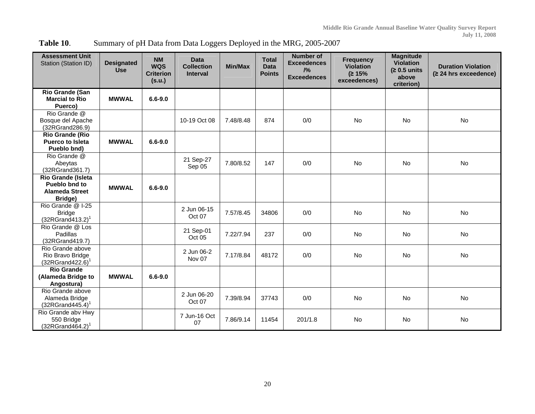| <b>Assessment Unit</b><br>Station (Station ID)                          | <b>Designated</b><br><b>Use</b> | <b>NM</b><br><b>WQS</b><br><b>Criterion</b><br>(s.u.) | <b>Data</b><br><b>Collection</b><br><b>Interval</b> | <b>Min/Max</b> | <b>Total</b><br><b>Data</b><br><b>Points</b> | <b>Number of</b><br><b>Exceedences</b><br>$P'_{\alpha}$<br><b>Exceedences</b> | <b>Frequency</b><br><b>Violation</b><br>(≥ 15%<br>exceedences) | <b>Magnitude</b><br><b>Violation</b><br>$(≥ 0.5$ units<br>above<br>criterion) | <b>Duration Violation</b><br>(≥ 24 hrs exceedence) |
|-------------------------------------------------------------------------|---------------------------------|-------------------------------------------------------|-----------------------------------------------------|----------------|----------------------------------------------|-------------------------------------------------------------------------------|----------------------------------------------------------------|-------------------------------------------------------------------------------|----------------------------------------------------|
| Rio Grande (San<br><b>Marcial to Rio</b><br>Puerco)                     | <b>MWWAL</b>                    | $6.6 - 9.0$                                           |                                                     |                |                                              |                                                                               |                                                                |                                                                               |                                                    |
| Rio Grande @<br>Bosque del Apache<br>(32RGrand286.9)                    |                                 |                                                       | 10-19 Oct 08                                        | 7.48/8.48      | 874                                          | 0/0                                                                           | No                                                             | <b>No</b>                                                                     | <b>No</b>                                          |
| <b>Rio Grande (Rio</b><br><b>Puerco to Isleta</b><br>Pueblo bnd)        | <b>MWWAL</b>                    | $6.6 - 9.0$                                           |                                                     |                |                                              |                                                                               |                                                                |                                                                               |                                                    |
| Rio Grande @<br>Abeytas<br>(32RGrand361.7)                              |                                 |                                                       | 21 Sep-27<br>Sep 05                                 | 7.80/8.52      | 147                                          | 0/0                                                                           | No                                                             | No                                                                            | No                                                 |
| Rio Grande (Isleta<br>Pueblo bnd to<br><b>Alameda Street</b><br>Bridge) | <b>MWWAL</b>                    | $6.6 - 9.0$                                           |                                                     |                |                                              |                                                                               |                                                                |                                                                               |                                                    |
| Rio Grande @ I-25<br><b>Bridge</b><br>$(32RGrand413.2)^T$               |                                 |                                                       | 2 Jun 06-15<br>Oct 07                               | 7.57/8.45      | 34806                                        | 0/0                                                                           | No                                                             | No                                                                            | <b>No</b>                                          |
| Rio Grande @ Los<br>Padillas<br>(32RGrand419.7)                         |                                 |                                                       | 21 Sep-01<br>Oct 05                                 | 7.22/7.94      | 237                                          | 0/0                                                                           | No                                                             | No                                                                            | <b>No</b>                                          |
| Rio Grande above<br>Rio Bravo Bridge<br>$(32RG$ rand $422.6)^1$         |                                 |                                                       | 2 Jun 06-2<br>Nov 07                                | 7.17/8.84      | 48172                                        | 0/0                                                                           | No                                                             | No                                                                            | No                                                 |
| <b>Rio Grande</b><br>(Alameda Bridge to<br>Angostura)                   | <b>MWWAL</b>                    | $6.6 - 9.0$                                           |                                                     |                |                                              |                                                                               |                                                                |                                                                               |                                                    |
| Rio Grande above<br>Alameda Bridge<br>$(32RG$ rand $445.4)^1$           |                                 |                                                       | 2 Jun 06-20<br>Oct 07                               | 7.39/8.94      | 37743                                        | 0/0                                                                           | No                                                             | <b>No</b>                                                                     | <b>No</b>                                          |
| Rio Grande abv Hwy<br>550 Bridge<br>$(32RG$ rand $464.2)^1$             |                                 |                                                       | 7 Jun-16 Oct<br>07                                  | 7.86/9.14      | 11454                                        | 201/1.8                                                                       | <b>No</b>                                                      | <b>No</b>                                                                     | No                                                 |

<span id="page-25-0"></span>**Table 10**. Summary of pH Data from Data Loggers Deployed in the MRG, 2005-2007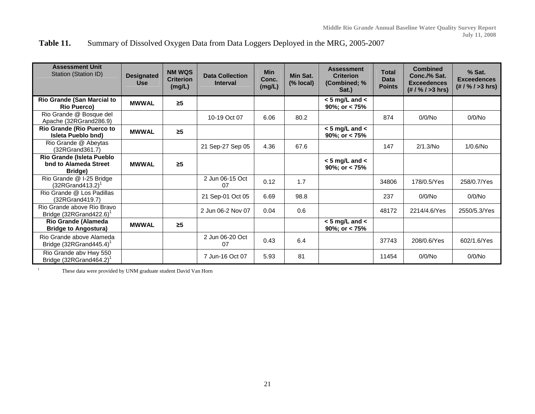## <span id="page-26-0"></span>**Table 11.** Summary of Dissolved Oxygen Data from Data Loggers Deployed in the MRG, 2005-2007

| <b>Assessment Unit</b><br>Station (Station ID)                    | <b>Designated</b><br><b>Use</b> | <b>NM WQS</b><br><b>Criterion</b><br>(mg/L) | <b>Data Collection</b><br><b>Interval</b> | <b>Min</b><br>Conc.<br>(mg/L) | Min Sat.<br>(% local) | <b>Assessment</b><br><b>Criterion</b><br>(Combined; %<br>Sat.) | <b>Total</b><br><b>Data</b><br><b>Points</b> | <b>Combined</b><br>Conc./% Sat.<br><b>Exceedences</b><br>$(\# / \% / > 3$ hrs) | % Sat.<br><b>Exceedences</b><br>$(\# / \% / > 3$ hrs) |
|-------------------------------------------------------------------|---------------------------------|---------------------------------------------|-------------------------------------------|-------------------------------|-----------------------|----------------------------------------------------------------|----------------------------------------------|--------------------------------------------------------------------------------|-------------------------------------------------------|
| Rio Grande (San Marcial to<br><b>Rio Puerco)</b>                  | <b>MWWAL</b>                    | $\geq 5$                                    |                                           |                               |                       | $<$ 5 mg/L and $<$<br>$90\%$ ; or < 75%                        |                                              |                                                                                |                                                       |
| Rio Grande @ Bosque del<br>Apache (32RGrand286.9)                 |                                 |                                             | 10-19 Oct 07                              | 6.06                          | 80.2                  |                                                                | 874                                          | 0/0/No                                                                         | 0/0/No                                                |
| Rio Grande (Rio Puerco to<br>Isleta Pueblo bnd)                   | <b>MWWAL</b>                    | $\geq 5$                                    |                                           |                               |                       | $< 5$ mg/L and $<$<br>90%; or < 75%                            |                                              |                                                                                |                                                       |
| Rio Grande @ Abeytas<br>(32RGrand361.7)                           |                                 |                                             | 21 Sep-27 Sep 05                          | 4.36                          | 67.6                  |                                                                | 147                                          | 2/1.3/No                                                                       | 1/0.6/N <sub>O</sub>                                  |
| Rio Grande (Isleta Pueblo<br>bnd to Alameda Street<br>Bridge)     | <b>MWWAL</b>                    | $\geq 5$                                    |                                           |                               |                       | $<$ 5 mg/L and $<$<br>$90\%$ ; or < 75%                        |                                              |                                                                                |                                                       |
| Rio Grande @ I-25 Bridge<br>$(32RG$ rand $413.2)^1$               |                                 |                                             | 2 Jun 06-15 Oct<br>07                     | 0.12                          | 1.7                   |                                                                | 34806                                        | 178/0.5/Yes                                                                    | 258/0.7/Yes                                           |
| Rio Grande @ Los Padillas<br>(32RGrand419.7)                      |                                 |                                             | 21 Sep-01 Oct 05                          | 6.69                          | 98.8                  |                                                                | 237                                          | 0/0/No                                                                         | 0/0/No                                                |
| Rio Grande above Rio Bravo<br>Bridge (32RGrand422.6) <sup>1</sup> |                                 |                                             | 2 Jun 06-2 Nov 07                         | 0.04                          | 0.6                   |                                                                | 48172                                        | 2214/4.6/Yes                                                                   | 2550/5.3/Yes                                          |
| Rio Grande (Alameda<br><b>Bridge to Angostura)</b>                | <b>MWWAL</b>                    | $\geq 5$                                    |                                           |                               |                       | $<$ 5 mg/L and $<$<br>$90\%$ ; or < 75%                        |                                              |                                                                                |                                                       |
| Rio Grande above Alameda<br>Bridge (32RGrand445.4) <sup>1</sup>   |                                 |                                             | 2 Jun 06-20 Oct<br>07                     | 0.43                          | 6.4                   |                                                                | 37743                                        | 208/0.6/Yes                                                                    | 602/1.6/Yes                                           |
| Rio Grande abv Hwy 550<br>Bridge (32RGrand464.2) <sup>1</sup>     |                                 |                                             | 7 Jun-16 Oct 07                           | 5.93                          | 81                    |                                                                | 11454                                        | 0/0/No                                                                         | 0/0/No                                                |

<sup>1</sup> These data were provided by UNM graduate student David Van Horn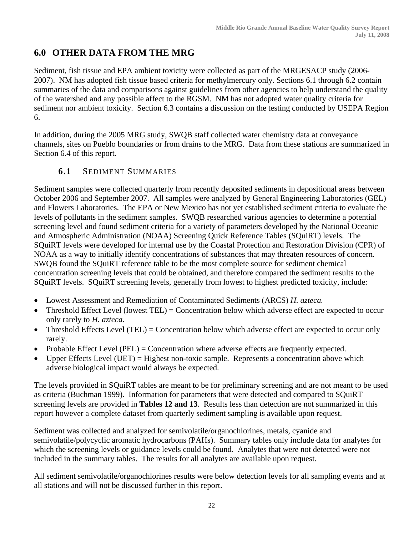# <span id="page-27-0"></span>**6.0 OTHER DATA FROM THE MRG**

Sediment, fish tissue and EPA ambient toxicity were collected as part of the MRGESACP study (2006- 2007). NM has adopted fish tissue based criteria for methylmercury only. Sections 6.1 [through 6.2](#page-28-0) contain summaries of the data and comparisons against guidelines from other agencies to help understand the quality of the watershed and any possible affect to the RGSM. NM has not adopted water quality criteria for sediment nor ambient toxicity. [Section 6.3 c](#page-35-0)ontains a discussion on the testing conducted by USEPA Region 6.

In addition, during the 2005 MRG study, SWQB staff collected water chemistry data at conveyance channels, sites on Pueblo boundaries or from drains to the MRG. Data from these stations are summarized in [Section 6.4 o](#page-35-0)f this report.

## **6.1** SEDIMENT SUMMARIES

Sediment samples were collected quarterly from recently deposited sediments in depositional areas between October 2006 and September 2007. All samples were analyzed by General Engineering Laboratories (GEL) and Flowers Laboratories. The EPA or New Mexico has not yet established sediment criteria to evaluate the levels of pollutants in the sediment samples. SWQB researched various agencies to determine a potential screening level and found sediment criteria for a variety of parameters developed by the National Oceanic and Atmospheric Administration (NOAA) Screening Quick Reference Tables (SQuiRT) levels. The SQuiRT levels were developed for internal use by the Coastal Protection and Restoration Division (CPR) of NOAA as a way to initially identify concentrations of substances that may threaten resources of concern. SWQB found the SQuiRT reference table to be the most complete source for sediment chemical concentration screening levels that could be obtained, and therefore compared the sediment results to the SQuiRT levels. SQuiRT screening levels, generally from lowest to highest predicted toxicity, include:

- Lowest Assessment and Remediation of Contaminated Sediments (ARCS) *H. azteca.*
- Threshold Effect Level (lowest TEL) = Concentration below which adverse effect are expected to occur only rarely to *H. azteca*.
- Threshold Effects Level (TEL) = Concentration below which adverse effect are expected to occur only rarely.
- Probable Effect Level (PEL) = Concentration where adverse effects are frequently expected.
- Upper Effects Level (UET) = Highest non-toxic sample. Represents a concentration above which adverse biological impact would always be expected.

The levels provided in SQuiRT tables are meant to be for preliminary screening and are not meant to be used as criteria (Buchman 1999). Information for parameters that were detected and compared to SQuiRT screening levels are provided in **[Tables 12](#page-29-0) [and 13](#page-30-0)**. Results less than detection are not summarized in this report however a complete dataset from quarterly sediment sampling is available upon request.

Sediment was collected and analyzed for semivolatile/organochlorines, metals, cyanide and semivolatile/polycyclic aromatic hydrocarbons (PAHs). Summary tables only include data for analytes for which the screening levels or guidance levels could be found. Analytes that were not detected were not included in the summary tables. The results for all analytes are available upon request.

All sediment semivolatile/organochlorines results were below detection levels for all sampling events and at all stations and will not be discussed further in this report.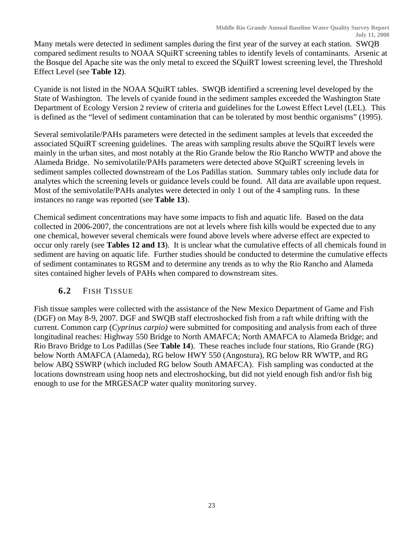<span id="page-28-0"></span>Many metals were detected in sediment samples during the first year of the survey at each station. SWQB compared sediment results to NOAA SQuiRT screening tables to identify levels of contaminants. Arsenic at the Bosque del Apache site was the only metal to exceed the SQuiRT lowest screening level, the Threshold Effect Level (see **[Table 12](#page-29-0)**).

Cyanide is not listed in the NOAA SQuiRT tables. SWQB identified a screening level developed by the State of Washington. The levels of cyanide found in the sediment samples exceeded the Washington State Department of Ecology Version 2 review of criteria and guidelines for the Lowest Effect Level (LEL). This is defined as the "level of sediment contamination that can be tolerated by most benthic organisms" (1995).

Several semivolatile/PAHs parameters were detected in the sediment samples at levels that exceeded the associated SQuiRT screening guidelines. The areas with sampling results above the SQuiRT levels were mainly in the urban sites, and most notably at the Rio Grande below the Rio Rancho WWTP and above the Alameda Bridge. No semivolatile/PAHs parameters were detected above SQuiRT screening levels in sediment samples collected downstream of the Los Padillas station. Summary tables only include data for analytes which the screening levels or guidance levels could be found. All data are available upon request. Most of the semivolatile/PAHs analytes were detected in only 1 out of the 4 sampling runs. In these instances no range was reported (see **[Table 13](#page-30-0)**).

Chemical sediment concentrations may have some impacts to fish and aquatic life. Based on the data collected in 2006-2007, the concentrations are not at levels where fish kills would be expected due to any one chemical, however several chemicals were found above levels where adverse effect are expected to occur only rarely (see **[Tables 12](#page-29-0) [and 13](#page-30-0)**). It is unclear what the cumulative effects of all chemicals found in sediment are having on aquatic life. Further studies should be conducted to determine the cumulative effects of sediment contaminates to RGSM and to determine any trends as to why the Rio Rancho and Alameda sites contained higher levels of PAHs when compared to downstream sites.

## **6.2** FISH TISSUE

Fish tissue samples were collected with the assistance of the New Mexico Department of Game and Fish (DGF) on May 8-9, 2007. DGF and SWQB staff electroshocked fish from a raft while drifting with the current. Common carp (*Cyprinus carpio)* were submitted for compositing and analysis from each of three longitudinal reaches: Highway 550 Bridge to North AMAFCA; North AMAFCA to Alameda Bridge; and Rio Bravo Bridge to Los Padillas (See **[Table 14](#page-32-0)**). These reaches include four stations, Rio Grande (RG) below North AMAFCA (Alameda), RG below HWY 550 (Angostura), RG below RR WWTP, and RG below ABQ SSWRP (which included RG below South AMAFCA). Fish sampling was conducted at the locations downstream using hoop nets and electroshocking, but did not yield enough fish and/or fish big enough to use for the MRGESACP water quality monitoring survey.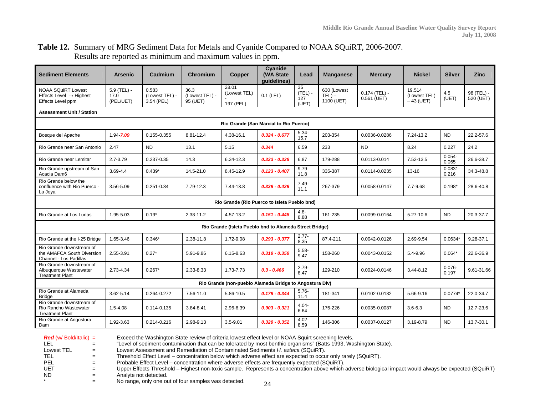#### <span id="page-29-0"></span>**Table 12.** Summary of MRG Sediment Data for Metals and Cyanide Compared to NOAA SQuiRT, 2006-2007. Results are reported as minimum and maximum values in ppm.

| <b>Sediment Elements</b>                                                              | <b>Arsenic</b>                               | Cadmium                                                                                                                                                                                                                                                                                                     | Chromium                           | Copper                                                  | Cyanide<br>(WA State<br>quidelines) | Lead                        | <b>Manganese</b>                       | <b>Mercury</b>                 | <b>Nickel</b>                       | <b>Silver</b>      | <b>Zinc</b>             |  |  |  |
|---------------------------------------------------------------------------------------|----------------------------------------------|-------------------------------------------------------------------------------------------------------------------------------------------------------------------------------------------------------------------------------------------------------------------------------------------------------------|------------------------------------|---------------------------------------------------------|-------------------------------------|-----------------------------|----------------------------------------|--------------------------------|-------------------------------------|--------------------|-------------------------|--|--|--|
| <b>NOAA SQuiRT Lowest</b><br>Effects Level $\rightarrow$ Highest<br>Effects Level ppm | $5.9$ (TEL) -<br>17.0<br>(PEL/UET)           | 0.583<br>(Lowest TEL) -<br>3.54 (PEL)                                                                                                                                                                                                                                                                       | 36.3<br>(Lowest TEL) -<br>95 (UET) | 28.01<br>(Lowest TEL)<br>197 (PEL)                      | $0.1$ (LEL)                         | 35<br>(TEL)<br>127<br>(UET) | 630 (Lowest<br>$TEL$ ) –<br>1100 (UET) | $0.174$ (TEL) -<br>0.561 (UET) | 19.514<br>(Lowest TEL)<br>-43 (UET) | 4.5<br>(UET)       | 98 (TEL) -<br>520 (UET) |  |  |  |
| <b>Assessment Unit / Station</b>                                                      |                                              |                                                                                                                                                                                                                                                                                                             |                                    |                                                         |                                     |                             |                                        |                                |                                     |                    |                         |  |  |  |
|                                                                                       |                                              |                                                                                                                                                                                                                                                                                                             |                                    | Rio Grande (San Marcial to Rio Puerco)                  |                                     |                             |                                        |                                |                                     |                    |                         |  |  |  |
| Bosque del Apache                                                                     | 1.94-7.09                                    | 0.155-0.355                                                                                                                                                                                                                                                                                                 | 8.81-12.4                          | 4.38-16.1                                               | $0.324 - 0.677$                     | $5.34 -$<br>15.7            | 203-354                                | 0.0036-0.0286                  | 7.24-13.2                           | <b>ND</b>          | 22.2-57.6               |  |  |  |
| Rio Grande near San Antonio                                                           | 2.47                                         | <b>ND</b>                                                                                                                                                                                                                                                                                                   | 13.1                               | 5.15                                                    | 0.344                               | 6.59                        | 233                                    | <b>ND</b>                      | 8.24                                | 0.227              | 24.2                    |  |  |  |
| Rio Grande near Lemitar                                                               | 2.7-3.79                                     | 0.237-0.35                                                                                                                                                                                                                                                                                                  | 14.3                               | 6.34-12.3                                               | $0.323 - 0.328$                     | 6.87                        | 179-288                                | 0.0113-0.014                   | 7.52-13.5                           | $0.054 -$<br>0.065 | 26.6-38.7               |  |  |  |
| Rio Grande upstream of San<br>Acacia Dam6                                             | 3.69-4.4                                     | $0.439*$                                                                                                                                                                                                                                                                                                    | 14.5-21.0                          | 8.45-12.9                                               | $0.123 - 0.407$                     | $9.79 -$<br>11.8            | 335-387                                | 0.0114-0.0235                  | $13 - 16$                           | 0.0831<br>0.216    | 34.3-48.8               |  |  |  |
| Rio Grande below the<br>confluence with Rio Puerco -<br>La Joya                       | 3.56-5.09                                    | 0.251-0.34                                                                                                                                                                                                                                                                                                  | 7.79-12.3                          | 7.44-13.8                                               | $0.339 - 0.429$                     | 7.49-<br>11.1               | 267-379                                | 0.0058-0.0147                  | 7.7-9.68                            | $0.198*$           | 28.6-40.8               |  |  |  |
|                                                                                       | Rio Grande (Rio Puerco to Isleta Pueblo bnd) |                                                                                                                                                                                                                                                                                                             |                                    |                                                         |                                     |                             |                                        |                                |                                     |                    |                         |  |  |  |
| Rio Grande at Los Lunas                                                               | 1.95-5.03                                    | $0.19*$                                                                                                                                                                                                                                                                                                     | 2.38-11.2                          | 4.57-13.2                                               | $0.151 - 0.448$                     | $4.8 -$<br>8.88             | 161-235                                | 0.0099-0.0164                  | 5.27-10.6                           | <b>ND</b>          | 20.3-37.7               |  |  |  |
|                                                                                       |                                              |                                                                                                                                                                                                                                                                                                             |                                    | Rio Grande (Isleta Pueblo bnd to Alameda Street Bridge) |                                     |                             |                                        |                                |                                     |                    |                         |  |  |  |
| Rio Grande at the I-25 Bridge                                                         | 1.65-3.46                                    | $0.346*$                                                                                                                                                                                                                                                                                                    | 2.38-11.8                          | 1.72-9.08                                               | $0.293 - 0.377$                     | $2.77 -$<br>8.35            | 87.4-211                               | 0.0042-0.0126                  | 2.69-9.54                           | $0.0634*$          | 9.28-37.1               |  |  |  |
| Rio Grande downstream of<br>the AMAFCA South Diversion<br>Channel - Los Padillas      | 2.55-3.91                                    | $0.27*$                                                                                                                                                                                                                                                                                                     | 5.91-9.86                          | 6.15-8.63                                               | $0.319 - 0.359$                     | $5.58 -$<br>9.47            | 158-260                                | 0.0043-0.0152                  | 5.4-9.96                            | $0.064*$           | 22.6-36.9               |  |  |  |
| Rio Grande downstream of<br>Albuquerque Wastewater<br><b>Treatment Plant</b>          | 2.73-4.34                                    | $0.267*$                                                                                                                                                                                                                                                                                                    | 2.33-8.33                          | 1.73-7.73                                               | $0.3 - 0.466$                       | $2.79 -$<br>8.47            | 129-210                                | 0.0024-0.0146                  | 3.44-8.12                           | $0.076 -$<br>0.197 | 9.61-31.66              |  |  |  |
|                                                                                       |                                              |                                                                                                                                                                                                                                                                                                             |                                    | Rio Grande (non-pueblo Alameda Bridge to Angostura Div) |                                     |                             |                                        |                                |                                     |                    |                         |  |  |  |
| Rio Grande at Alameda<br><b>Bridge</b>                                                | 3.62-5.14                                    | 0.264-0.272                                                                                                                                                                                                                                                                                                 | 7.56-11.0                          | 5.86-10.5                                               | $0.179 - 0.344$                     | $5.76 -$<br>11.4            | 181-341                                | 0.0102-0.0182                  | 5.66-9.16                           | $0.0774*$          | 22.0-34.7               |  |  |  |
| Rio Grande downstream of<br>Rio Rancho Wastewater<br><b>Treatment Plant</b>           | $1.5 - 4.08$                                 | 0.114-0.135                                                                                                                                                                                                                                                                                                 | 3.84-8.41                          | 2.96-6.39                                               | $0.903 - 0.321$                     | $4.04 -$<br>6.64            | 176-226                                | 0.0035-0.0087                  | $3.6 - 6.3$                         | <b>ND</b>          | 12.7-23.6               |  |  |  |
| Rio Grande at Angostura<br>Dam                                                        | 1.92-3.63                                    | 0.214-0.216                                                                                                                                                                                                                                                                                                 | 2.98-9.13                          | 3.5-9.01                                                | $0.329 - 0.352$                     | $4.02 -$<br>8.59            | 146-306                                | 0.0037-0.0127                  | 3.19-8.79                           | <b>ND</b>          | 13.7-30.1               |  |  |  |
| $Red$ (w/ Bold/Italic) =<br>LEL<br>$\qquad \qquad =$<br><b>Lowest TEL</b><br>$=$      |                                              | Exceed the Washington State review of criteria lowest effect level or NOAA Squirt screening levels.<br>"Level of sediment contamination that can be tolerated by most benthic organisms" (Batts 1993, Washington State).<br>Lowest Assessment and Remediation of Contaminated Sediments H. azteca (SQuiRT). |                                    |                                                         |                                     |                             |                                        |                                |                                     |                    |                         |  |  |  |

TEL  $=$  Threshold Effect Level – concentration below which adverse effect are expected to occur only rarely (SQuiRT).<br>PEL  $=$  Probable Effect Level – concentration where adverse effects are frequently expected (SQuiRT).

PEL = Probable Effect Level – concentration where adverse effects are frequently expected (SQuiRT).<br>UET = Upper Effects Threshold – Highest non-toxic sample. Represents a concentration above which

UET = Upper Effects Threshold – Highest non-toxic sample. Represents a concentration above which adverse biological impact would always be expected (SQuiRT)<br>ND = Analyte not detected.  $ND$  = Analyte not detected.<br>  $N = NQ$  = No range only one of

= No range, only one out of four samples was detected.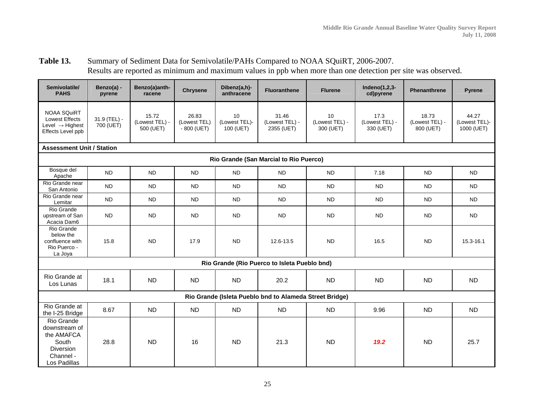#### <span id="page-30-0"></span>**Table 13.** Summary of Sediment Data for Semivolatile/PAHs Compared to NOAA SQuiRT, 2006-2007. Results are reported as minimum and maximum values in ppb when more than one detection per site was observed.

**Semivolatile/ PAHS Benzo(a) pyrene Benzo(a)anthracene Chrysene Dibenz(a,h)- anthracene Fluoranthene Flurene Indeno(1,2,3- cd)pyrene Phenanthrene Pyrene**  NOAA SQuiRT Lowest Effects Level  $\rightarrow$  Highest Effects Level ppb 31.9 (TEL) - 700 (UET) 15.72 (Lowest TEL) - 500 (UET) 26.83 (Lowest TEL) - 800 (UET) 10 (Lowest TEL)- 100 (UET) 31.46 (Lowest TEL) - 2355 (UET) 10 (Lowest TEL) - 300 (UET) 17.3 (Lowest TEL) - 330 (UET) 18.73 (Lowest TEL) - 800 (UET) 44.27 (Lowest TEL)- 1000 (UET) **Assessment Unit / Station Rio Grande (San Marcial to Rio Puerco)**  Bosque del Apache ND ND ND ND ND ND 7.18 ND ND Rio Grande near San Antonio ND ND ND ND ND ND ND ND ND Rio Grande near Lemitar ND ND ND ND ND ND ND ND ND Rio Grande upstream of San Acacia Dam6 ND ND ND ND ND ND ND ND ND Rio Grande below the confluence with Rio Puerco - La Joya 15.8 ND 17.9 ND 12.6-13.5 ND 16.5 ND 15.3-16.1 **Rio Grande (Rio Puerco to Isleta Pueblo bnd)**  Rio Grande at o-okanas at | 18.1 | ND | ND | ND | 20.2 | ND | ND | ND | ND | ND<br>Los Lunas | 18.1 | ND | ND | ND | 20.2 | ND | ND | ND **Rio Grande (Isleta Pueblo bnd to Alameda Street Bridge)**  Rio Grande at the I-25 Bridge 8.67 ND ND ND ND ND ND 9.96 ND ND ND ND Rio Grande downstream of the AMAFCA **South** Diversion Channel - Los Padillas 28.8 ND 16 ND 21.3 ND *19.2* ND 25.7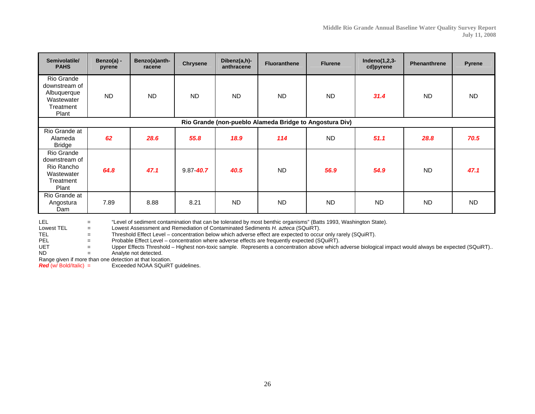| Semivolatile/<br><b>PAHS</b>                                                   | Benzo(a) -<br>pyrene | Benzo(a)anth-<br>racene | <b>Chrysene</b> | Dibenz $(a,h)$ -<br>anthracene | <b>Fluoranthene</b>                                     | <b>Flurene</b> | Indeno $(1,2,3-$<br>cd)pyrene | <b>Phenanthrene</b> | Pyrene    |
|--------------------------------------------------------------------------------|----------------------|-------------------------|-----------------|--------------------------------|---------------------------------------------------------|----------------|-------------------------------|---------------------|-----------|
| Rio Grande<br>downstream of<br>Albuquerque<br>Wastewater<br>Treatment<br>Plant | <b>ND</b>            | <b>ND</b>               | <b>ND</b>       | <b>ND</b>                      | <b>ND</b>                                               | ND.            | 31.4                          | <b>ND</b>           | <b>ND</b> |
|                                                                                |                      |                         |                 |                                | Rio Grande (non-pueblo Alameda Bridge to Angostura Div) |                |                               |                     |           |
| Rio Grande at<br>Alameda<br><b>Bridge</b>                                      | 62                   | 28.6                    | 55.8            | 18.9                           | 114                                                     | <b>ND</b>      | 51.1                          | 28.8                | 70.5      |
| Rio Grande<br>downstream of<br>Rio Rancho<br>Wastewater<br>Treatment<br>Plant  | 64.8                 | 47.1                    | $9.87 - 40.7$   | 40.5                           | <b>ND</b>                                               | 56.9           | 54.9                          | <b>ND</b>           | 47.1      |
| Rio Grande at<br>Angostura<br>Dam                                              | 7.89                 | 8.88                    | 8.21            | <b>ND</b>                      | <b>ND</b>                                               | <b>ND</b>      | <b>ND</b>                     | <b>ND</b>           | <b>ND</b> |

LEL = "Level of sediment contamination that can be tolerated by most benthic organisms" [\(Batts](#page-39-0) [1993,](#page-39-0) [Washington](#page-39-0) [State\)](#page-39-0).<br>Lowest TEL = Lowest Assessment and Remediation of Contaminated Sediments H. azteca (SQuiRT).

Lowest TEL = Lowest Assessment and Remediation of Contaminated Sediments *H. azteca* (SQuiRT).<br>TEL = Threshold Effect Level – concentration below which adverse effect are expected to occu

TEL = Threshold Effect Level – concentration below which adverse effect are expected to occur only rarely (SQuiRT).<br>PEL = Probable Effect Level – concentration where adverse effects are frequently expected (SQuiRT).

PEL  $=$  Probable Effect Level – concentration where adverse effects are frequently expected (SQuiRT).<br>UET  $=$  Upper Effects Threshold – Highest non-toxic sample. Represents a concentration above which a

UET = Upper Effects Threshold – Highest non-toxic sample. Represents a concentration above which adverse biological impact would always be expected (SQuiRT)..<br>ND = Analyte not detected.  $=$  Analyte not detected.

Range given if more than one detection at that location.<br> **Red** (w/ Bold/Italic) = Exceeded NOAA SQuiRT **Exceeded NOAA SQuiRT guidelines.**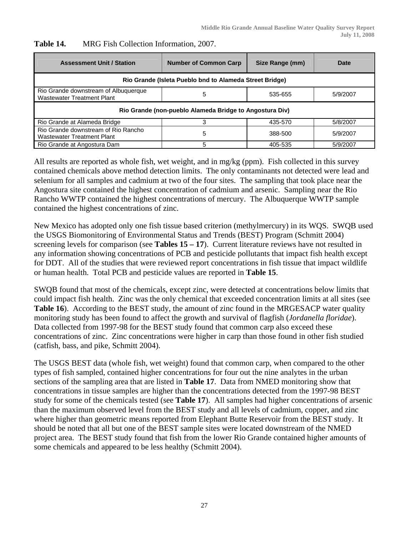| <b>Assessment Unit / Station</b>                                   | <b>Number of Common Carp</b> | Size Range (mm)     | Date     |  |  |  |  |  |  |
|--------------------------------------------------------------------|------------------------------|---------------------|----------|--|--|--|--|--|--|
| Rio Grande (Isleta Pueblo bnd to Alameda Street Bridge)            |                              |                     |          |  |  |  |  |  |  |
| Rio Grande downstream of Albuquerque<br>Wastewater Treatment Plant | 5                            | 535-655             | 5/9/2007 |  |  |  |  |  |  |
| Rio Grande (non-pueblo Alameda Bridge to Angostura Div)            |                              |                     |          |  |  |  |  |  |  |
| Rio Grande at Alameda Bridge                                       |                              | 435-570             | 5/8/2007 |  |  |  |  |  |  |
| Rio Grande downstream of Rio Rancho<br>Wastewater Treatment Plant  | 5                            | 388-500             | 5/9/2007 |  |  |  |  |  |  |
| Rio Grande at Angostura Dam                                        |                              | 5/9/2007<br>405-535 |          |  |  |  |  |  |  |

#### <span id="page-32-0"></span>**Table 14.** MRG Fish Collection Information, 2007.

All results are reported as whole fish, wet weight, and in mg/kg (ppm). Fish collected in this survey contained chemicals above method detection limits. The only contaminants not detected were lead and selenium for all samples and cadmium at two of the four sites. The sampling that took place near the Angostura site contained the highest concentration of cadmium and arsenic. Sampling near the Rio Rancho WWTP contained the highest concentrations of mercury. The Albuquerque WWTP sample contained the highest concentrations of zinc.

New Mexico has adopted only one fish tissue based criterion (methylmercury) in its WQS. SWQB used the USGS Biomonitoring of Environmental Status and Trends (BEST) Program [\(Schmitt 2004\)](#page-40-0)  screening levels for comparison (see **[Tables 15](#page-33-0) [– 17](#page-35-0)**). Current literature reviews have not resulted in any information showing concentrations of PCB and pesticide pollutants that impact fish health except for DDT. All of the studies that were reviewed report concentrations in fish tissue that impact wildlife or human health. Total PCB and pesticide values are reported in **[Table 15](#page-33-0)**.

SWQB found that most of the chemicals, except zinc, were detected at concentrations below limits that could impact fish health. Zinc was the only chemical that exceeded concentration limits at all sites (see **[Table 16](#page-34-0)**). According to the BEST study, the amount of zinc found in the MRGESACP water quality monitoring study has been found to affect the growth and survival of flagfish (*Jordanella floridae*). Data collected from 1997-98 for the BEST study found that common carp also exceed these concentrations of zinc. Zinc concentrations were higher in carp than those found in other fish studied (catfish, bass, and pike, [Schmitt 2004\).](#page-40-0) 

The USGS BEST data (whole fish, wet weight) found that common carp, when compared to the other types of fish sampled, contained higher concentrations for four out the nine analytes in the urban sections of the sampling area that are listed in **[Table 17](#page-35-0)**. Data from NMED monitoring show that concentrations in tissue samples are higher than the concentrations detected from the 1997-98 BEST study for some of the chemicals tested (see **[Table 17](#page-35-0)**). All samples had higher concentrations of arsenic than the maximum observed level from the BEST study and all levels of cadmium, copper, and zinc where higher than geometric means reported from Elephant Butte Reservoir from the BEST study. It should be noted that all but one of the BEST sample sites were located downstream of the NMED project area. The BEST study found that fish from the lower Rio Grande contained higher amounts of some chemicals and appeared to be less healthy [\(Schmitt 2004\).](#page-40-0)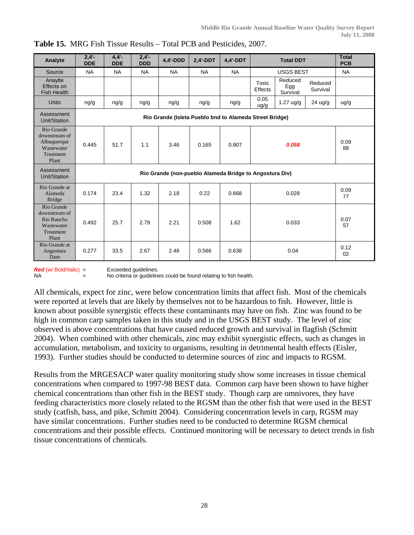| Analyte                                                                              | $2,4'$ -<br><b>DDE</b> | $4.4' -$<br><b>DDE</b>                                  | $2,4'$ -<br><b>DDD</b> | 4.4'-DDD                                                | 2,4'-DDT  | 4,4'-DDT  |                  | <b>Total DDT</b>           |                     | <b>Total</b><br><b>PCB</b> |  |
|--------------------------------------------------------------------------------------|------------------------|---------------------------------------------------------|------------------------|---------------------------------------------------------|-----------|-----------|------------------|----------------------------|---------------------|----------------------------|--|
| Source                                                                               | <b>NA</b>              | <b>NA</b>                                               | <b>NA</b>              | <b>NA</b>                                               | <b>NA</b> | <b>NA</b> |                  | <b>USGS BEST</b>           | <b>NA</b>           |                            |  |
| Anaylte<br>Effects on<br><b>Fish Health</b>                                          |                        |                                                         |                        |                                                         |           |           | Toxic<br>Effects | Reduced<br>Egg<br>Survival | Reduced<br>Survival |                            |  |
| <b>Units</b>                                                                         | ng/g                   | ng/g                                                    | ng/g                   | ng/g                                                    | ng/g      | ng/g      | 0.05<br>u g/g    | $1.27$ ug/g                | $24 \text{ ug/g}$   | ug/g                       |  |
| Assessment<br>Unit/Station                                                           |                        | Rio Grande (Isleta Pueblo bnd to Alameda Street Bridge) |                        |                                                         |           |           |                  |                            |                     |                            |  |
| Rio Grande<br>downstream of<br>Albuquerque<br>Wastewater<br>Treatment<br>Plant       | 0.445                  | 51.7                                                    | 1.1                    | 3.46                                                    | 0.165     | 0.907     | 0.058            |                            |                     | 0.09<br>88                 |  |
| Assessment<br>Unit/Station                                                           |                        |                                                         |                        | Rio Grande (non-pueblo Alameda Bridge to Angostura Div) |           |           |                  |                            |                     |                            |  |
| Rio Grande at<br>Alameda<br><b>Bridge</b>                                            | 0.174                  | 23.4                                                    | 1.32                   | 2.18                                                    | 0.22      | 0.668     |                  | 0.028                      |                     | 0.09<br>77                 |  |
| Rio Grande<br>downstream of<br>Rio Rancho<br>Wastewater<br><b>Treatment</b><br>Plant | 0.492                  | 25.7                                                    | 2.79                   | 2.21                                                    | 0.508     | 1.62      | 0.033            |                            |                     | 0.07<br>57                 |  |
| Rio Grande at<br>Angostura<br>Dam                                                    | 0.277                  | 33.5                                                    | 2.67                   | 2.48                                                    | 0.566     | 0.638     |                  | 0.04                       |                     | 0.12<br>02                 |  |

<span id="page-33-0"></span>

| <b>Table 15.</b> MRG Fish Tissue Results – Total PCB and Pesticides, 2007. |  |
|----------------------------------------------------------------------------|--|
|----------------------------------------------------------------------------|--|

*Red* (w/ Bold/Italic) = Exceeded quidelines.

 $NA$   $=$  No criteria or quidelines could be found relating to fish health.

All chemicals, expect for zinc, were below concentration limits that affect fish. Most of the chemicals were reported at levels that are likely by themselves not to be hazardous to fish. However, little is known about possible synergistic effects these contaminants may have on fish. Zinc was found to be high in common carp samples taken in this study and in the USGS BEST study. The level of zinc observed is above concentrations that have caused reduced growth and survival in flagfish [\(Schmitt](#page-40-0)  [2004\).](#page-40-0) When combined with other chemicals, zinc may exhibit synergistic effects, such as changes in accumulation, metabolism, and toxicity to organisms, resulting in detrimental health effects [\(Eisler,](#page-39-0)  [1993\).](#page-39-0) Further studies should be conducted to determine sources of zinc and impacts to RGSM.

Results from the MRGESACP water quality monitoring study show some increases in tissue chemical concentrations when compared to 1997-98 BEST data. Common carp have been shown to have higher chemical concentrations than other fish in the BEST study. Though carp are omnivores, they have feeding characteristics more closely related to the RGSM than the other fish that were used in the BEST study (catfish, bass, and pike, [Schmitt 2004\).](#page-40-0) Considering concentration levels in carp, RGSM may have similar concentrations. Further studies need to be conducted to determine RGSM chemical concentrations and their possible effects. Continued monitoring will be necessary to detect trends in fish tissue concentrations of chemicals.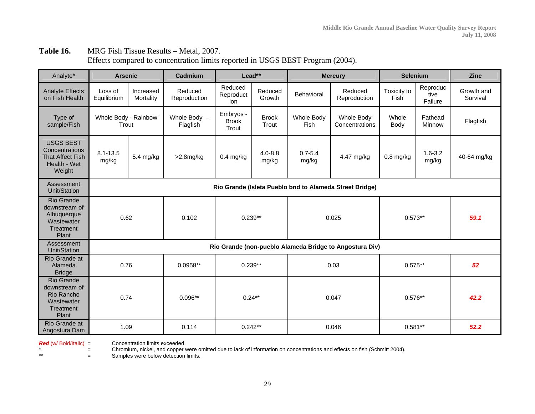#### <span id="page-34-0"></span>**Table 16.** MRG Fish Tissue Results **–** Metal, 2007.

Effects compared to concentration limits reported in USGS BEST Program (2004).

| Analyte*                                                                                | <b>Arsenic</b>                                          |                        | Cadmium                    |                                    | Lead**<br><b>Mercury</b><br><b>Selenium</b> |                      |                                                         | <b>Zinc</b>                |                             |                        |      |
|-----------------------------------------------------------------------------------------|---------------------------------------------------------|------------------------|----------------------------|------------------------------------|---------------------------------------------|----------------------|---------------------------------------------------------|----------------------------|-----------------------------|------------------------|------|
| <b>Analyte Effects</b><br>on Fish Health                                                | Loss of<br>Equilibrium                                  | Increased<br>Mortality | Reduced<br>Reproduction    | Reduced<br>Reproduct<br>ion        | Reduced<br>Growth                           | Behavioral           | Reduced<br>Reproduction                                 | Toxicity to<br><b>Fish</b> | Reproduc<br>tive<br>Failure | Growth and<br>Survival |      |
| Type of<br>sample/Fish                                                                  | Whole Body - Rainbow<br>Trout                           |                        | Whole Body $-$<br>Flagfish | Embryos -<br><b>Brook</b><br>Trout | <b>Brook</b><br>Trout                       | Whole Body<br>Fish   | Whole Body<br>Concentrations                            | Whole<br>Body              | Fathead<br>Minnow           | Flagfish               |      |
| <b>USGS BEST</b><br>Concentrations<br><b>That Affect Fish</b><br>Health - Wet<br>Weight | $8.1 - 13.5$<br>mg/kg                                   | 5.4 mg/kg              | $>2.8$ mg/kg               | $0.4$ mg/kg                        | $4.0 - 8.8$<br>mg/kg                        | $0.7 - 5.4$<br>mg/kg | 4.47 mg/kg                                              | $0.8$ mg/kg                | $1.6 - 3.2$<br>mg/kg        | 40-64 mg/kg            |      |
| Assessment<br>Unit/Station                                                              | Rio Grande (Isleta Pueblo bnd to Alameda Street Bridge) |                        |                            |                                    |                                             |                      |                                                         |                            |                             |                        |      |
| Rio Grande<br>downstream of<br>Albuquerque<br>Wastewater<br>Treatment<br>Plant          | 0.62                                                    |                        | 0.102                      | $0.239**$                          |                                             | 0.025                |                                                         | $0.573**$                  |                             |                        | 59.1 |
| Assessment<br>Unit/Station                                                              |                                                         |                        |                            |                                    |                                             |                      | Rio Grande (non-pueblo Alameda Bridge to Angostura Div) |                            |                             |                        |      |
| Rio Grande at<br>Alameda<br><b>Bridge</b>                                               | 0.76                                                    |                        | $0.0958**$                 | $0.239**$                          |                                             | 0.03                 |                                                         | $0.575**$                  |                             | 52                     |      |
| Rio Grande<br>downstream of<br>Rio Rancho<br>Wastewater<br>Treatment<br>Plant           | 0.74                                                    |                        | $0.096**$                  | $0.24***$                          |                                             | 0.047                |                                                         | $0.576**$                  |                             |                        | 42.2 |
| Rio Grande at<br>Angostura Dam                                                          | 1.09                                                    |                        | 0.114                      | $0.242**$                          |                                             | 0.046                |                                                         | $0.581**$                  |                             | 52.2                   |      |

*Red* (w/ Bold/Italic) = Concentration limits exceeded.<br>  $\begin{array}{r} \n\star \n\end{array}$  = Chromium, nickel, and copper

\* = Chromium, nickel, and copper were omitted due to lack of information on concentrations and effects on fish [\(Schmitt 2004\).](#page-40-0) 

 $=$  Samples were below detection limits.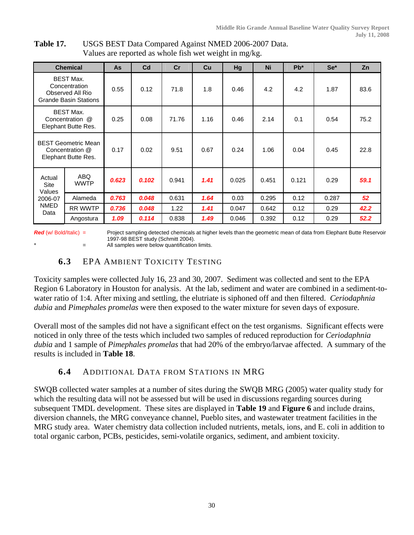|                                 | <b>Chemical</b>                                                                       | As    | C <sub>d</sub> | Cr    | Cu   | Hg    | <b>Ni</b> | $Pb^*$ | $Se*$ | Zn   |
|---------------------------------|---------------------------------------------------------------------------------------|-------|----------------|-------|------|-------|-----------|--------|-------|------|
|                                 | <b>BEST Max.</b><br>Concentration<br>Observed All Rio<br><b>Grande Basin Stations</b> | 0.55  | 0.12           | 71.8  | 1.8  | 0.46  | 4.2       | 4.2    | 1.87  | 83.6 |
|                                 | <b>BEST Max.</b><br>Concentration @<br>Elephant Butte Res.                            | 0.25  | 0.08           | 71.76 | 1.16 | 0.46  | 2.14      | 0.1    | 0.54  | 75.2 |
|                                 | <b>BEST Geometric Mean</b><br>Concentration @<br>Elephant Butte Res.                  | 0.17  | 0.02           | 9.51  | 0.67 | 0.24  | 1.06      | 0.04   | 0.45  | 22.8 |
| Actual<br><b>Site</b><br>Values | ABQ<br><b>WWTP</b>                                                                    | 0.623 | 0.102          | 0.941 | 1.41 | 0.025 | 0.451     | 0.121  | 0.29  | 59.1 |
| 2006-07                         | Alameda                                                                               | 0.763 | 0.048          | 0.631 | 1.64 | 0.03  | 0.295     | 0.12   | 0.287 | 52   |
| <b>NMED</b><br>Data             | <b>RR WWTP</b>                                                                        | 0.736 | 0.048          | 1.22  | 1.41 | 0.047 | 0.642     | 0.12   | 0.29  | 42.2 |
|                                 | Angostura                                                                             | 1.09  | 0.114          | 0.838 | 1.49 | 0.046 | 0.392     | 0.12   | 0.29  | 52.2 |

<span id="page-35-0"></span>**Table 17.** USGS BEST Data Compared Against NMED 2006-2007 Data. Values are reported as whole fish wet weight in mg/kg.

**Red** (w/ Bold/Italic) = Project sampling detected chemicals at higher levels than the geometric mean of data from Elephant Butte Reservoir 1997-98 BEST study [\(Schmitt 2004\).](#page-40-0)

= All samples were below quantification limits.

## **6.3** EPA AMBIENT TOXICITY TESTING

Toxicity samples were collected July 16, 23 and 30, 2007. Sediment was collected and sent to the EPA Region 6 Laboratory in Houston for analysis. At the lab, sediment and water are combined in a sediment-towater ratio of 1:4. After mixing and settling, the elutriate is siphoned off and then filtered. *Ceriodaphnia dubia* and *Pimephales promelas* were then exposed to the water mixture for seven days of exposure.

Overall most of the samples did not have a significant effect on the test organisms. Significant effects were noticed in only three of the tests which included two samples of reduced reproduction for *Ceriodaphnia dubia* and 1 sample of *Pimephales promelas* that had 20% of the embryo/larvae affected. A summary of the results is included in **[Table 18](#page-36-0)**.

## **6.4** ADDITIONAL DATA FROM STATIONS IN MRG

SWQB collected water samples at a number of sites during th[e SWQB MRG \(2005\)](#page-39-0) water quality study for which the resulting data will not be assessed but will be used in discussions regarding sources during subsequent TMDL development. These sites are displayed in **[Table 19](#page-37-0)** and **[Figure 6](#page-38-0)** and include drains, diversion channels, the MRG conveyance channel, Pueblo sites, and wastewater treatment facilities in the MRG study area. Water chemistry data collection included nutrients, metals, ions, and E. coli in addition to total organic carbon, PCBs, pesticides, semi-volatile organics, sediment, and ambient toxicity.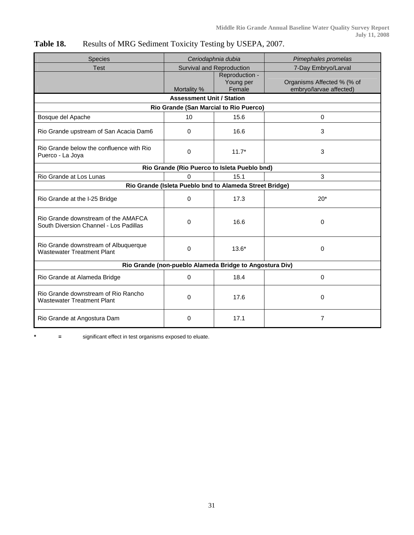| <b>Species</b>                                                                |             | Ceriodaphnia dubia                                      | Pimephales promelas                                   |  |  |  |  |  |  |
|-------------------------------------------------------------------------------|-------------|---------------------------------------------------------|-------------------------------------------------------|--|--|--|--|--|--|
| <b>Test</b>                                                                   |             | Survival and Reproduction                               | 7-Day Embryo/Larval                                   |  |  |  |  |  |  |
|                                                                               | Mortality % | Reproduction -<br>Young per<br>Female                   | Organisms Affected % (% of<br>embryo/larvae affected) |  |  |  |  |  |  |
| <b>Assessment Unit / Station</b>                                              |             |                                                         |                                                       |  |  |  |  |  |  |
|                                                                               |             | Rio Grande (San Marcial to Rio Puerco)                  |                                                       |  |  |  |  |  |  |
| Bosque del Apache                                                             | 10          | 15.6                                                    | $\mathbf 0$                                           |  |  |  |  |  |  |
| Rio Grande upstream of San Acacia Dam6                                        | 0           | 16.6                                                    | 3                                                     |  |  |  |  |  |  |
| Rio Grande below the confluence with Rio<br>Puerco - La Joya                  | 0           | $11.7*$                                                 | 3                                                     |  |  |  |  |  |  |
| Rio Grande (Rio Puerco to Isleta Pueblo bnd)                                  |             |                                                         |                                                       |  |  |  |  |  |  |
| Rio Grande at Los Lunas                                                       | $\Omega$    | 15.1                                                    | 3                                                     |  |  |  |  |  |  |
|                                                                               |             | Rio Grande (Isleta Pueblo bnd to Alameda Street Bridge) |                                                       |  |  |  |  |  |  |
| Rio Grande at the I-25 Bridge                                                 | $\mathbf 0$ | 17.3                                                    | $20*$                                                 |  |  |  |  |  |  |
| Rio Grande downstream of the AMAFCA<br>South Diversion Channel - Los Padillas | 0           | 16.6                                                    | 0                                                     |  |  |  |  |  |  |
| Rio Grande downstream of Albuquerque<br><b>Wastewater Treatment Plant</b>     | 0           | $13.6*$                                                 | 0                                                     |  |  |  |  |  |  |
|                                                                               |             | Rio Grande (non-pueblo Alameda Bridge to Angostura Div) |                                                       |  |  |  |  |  |  |
| Rio Grande at Alameda Bridge                                                  | 0           | 18.4                                                    | 0                                                     |  |  |  |  |  |  |
| Rio Grande downstream of Rio Rancho<br><b>Wastewater Treatment Plant</b>      | $\Omega$    | 17.6                                                    | 0                                                     |  |  |  |  |  |  |
| Rio Grande at Angostura Dam                                                   | $\Omega$    | 17.1                                                    | $\overline{7}$                                        |  |  |  |  |  |  |

## <span id="page-36-0"></span>Table 18. Results of MRG Sediment Toxicity Testing by USEPA, 2007.

**\* =** significant effect in test organisms exposed to eluate.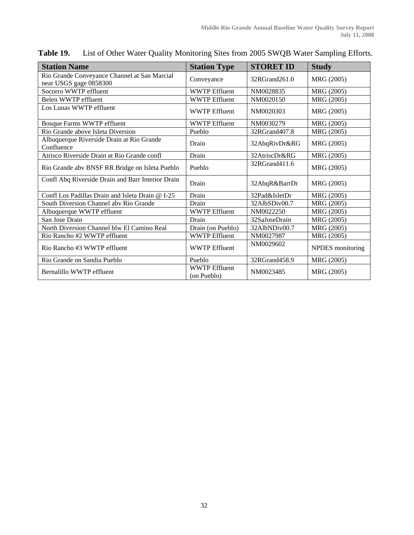| <b>Station Name</b>                                                    | <b>Station Type</b>                 | <b>STORET ID</b> | <b>Study</b>            |
|------------------------------------------------------------------------|-------------------------------------|------------------|-------------------------|
| Rio Grande Conveyance Channel at San Marcial<br>near USGS gage 0858300 | Conveyance                          | 32RGrand261.0    | MRG (2005)              |
| Socorro WWTP effluent                                                  | <b>WWTP Effluent</b>                | NM0028835        | MRG (2005)              |
| Belen WWTP effluent                                                    | <b>WWTP Effluent</b>                | NM0020150        | MRG (2005)              |
| Los Lunas WWTP effluent                                                | <b>WWTP Effluent</b>                | NM0020303        | MRG (2005)              |
| Bosque Farms WWTP effluent                                             | <b>WWTP</b> Effluent                | NM0030279        | MRG (2005)              |
| Rio Grande above Isleta Diversion                                      | Pueblo                              | 32RGrand407.8    | MRG (2005)              |
| Albuquerque Riverside Drain at Rio Grande<br>Confluence                | Drain                               | 32AbqRivDr&RG    | MRG (2005)              |
| Atrisco Riverside Drain at Rio Grande confl                            | Drain                               | 32AtriscDr&RG    | MRG (2005)              |
| Rio Grande abv BNSF RR Bridge on Isleta Pueblo                         | Pueblo                              | 32RGrand411.6    | MRG (2005)              |
| Confl Abq Riverside Drain and Barr Interior Drain                      | Drain                               | 32AbqR&BarrDr    | MRG (2005)              |
| Confl Los Padillas Drain and Isleta Drain @ I-25                       | Drain                               | 32Pad&IsletDr    | MRG (2005)              |
| South Diversion Channel abv Rio Grande                                 | Drain                               | 32AlbSDiv00.7    | MRG (2005)              |
| Albuquerque WWTP effluent                                              | <b>WWTP</b> Effluent                | NM0022250        | MRG (2005)              |
| San Jose Drain                                                         | Drain                               | 32SaJoseDrain    | MRG (2005)              |
| North Diversion Channel blw El Camino Real                             | Drain (on Pueblo)                   | 32AlbNDiv00.7    | MRG (2005)              |
| Rio Rancho #2 WWTP effluent                                            | <b>WWTP</b> Effluent                | NM0027987        | MRG (2005)              |
| Rio Rancho #3 WWTP effluent                                            | <b>WWTP Effluent</b>                | NM0029602        | <b>NPDES</b> monitoring |
| Rio Grande on Sandia Pueblo                                            | Pueblo                              | 32RGrand458.9    | MRG (2005)              |
| Bernalillo WWTP effluent                                               | <b>WWTP Effluent</b><br>(on Pueblo) | NM0023485        | MRG (2005)              |

<span id="page-37-0"></span>**Table 19.** List of Other Water Quality Monitoring Sites from 2005 SWQB Water Sampling Efforts.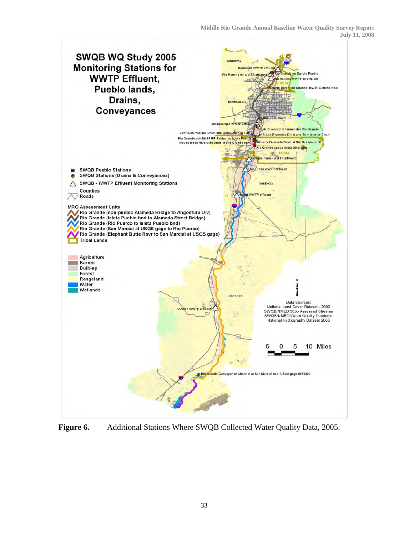<span id="page-38-0"></span>![](_page_38_Figure_1.jpeg)

Figure 6. Additional Stations Where SWQB Collected Water Quality Data, 2005.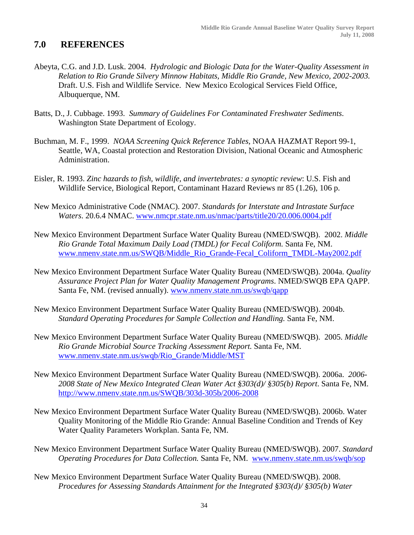### <span id="page-39-0"></span>**7.0 REFERENCES**

- Abeyta, C.G. and J.D. Lusk. 2004. *Hydrologic and Biologic Data for the Water-Quality Assessment in Relation to Rio Grande Silvery Minnow Habitats, Middle Rio Grande, New Mexico, 2002-2003.* Draft. U.S. Fish and Wildlife Service. New Mexico Ecological Services Field Office, Albuquerque, NM.
- Batts, D., J. Cubbage. 1993. *Summary of Guidelines For Contaminated Freshwater Sediments*. Washington State Department of Ecology.
- Buchman, M. F., 1999. *NOAA Screening Quick Reference Tables*, NOAA HAZMAT Report 99-1, Seattle, WA, Coastal protection and Restoration Division, National Oceanic and Atmospheric Administration.
- Eisler, R. 1993. *Zinc hazards to fish, wildlife, and invertebrates: a synoptic review*: U.S. Fish and Wildlife Service, Biological Report, Contaminant Hazard Reviews nr 85 (1.26), 106 p.
- New Mexico Administrative Code (NMAC). 2007. *Standards for Interstate and Intrastate Surface Waters*. 20.6.4 NMAC. www.nmcpr.state.nm.us/nmac/parts/title20/20.006.0004.pdf
- New Mexico Environment Department Surface Water Quality Bureau (NMED/SWQB). 2002. *Middle Rio Grande Total Maximum Daily Load (TMDL) for Fecal Coliform.* Santa Fe, NM. www.nmenv.state.nm.us/SWQB/Middle\_Rio\_Grande-Fecal\_Coliform\_TMDL-May2002.pdf
- New Mexico Environment Department Surface Water Quality Bureau (NMED/SWQB). 2004a. *Quality Assurance Project Plan for Water Quality Management Programs*. NMED/SWQB EPA QAPP. Santa Fe, NM. (revised annually). www.nmenv.state.nm.us/swqb/qapp
- New Mexico Environment Department Surface Water Quality Bureau (NMED/SWQB). 2004b. *Standard Operating Procedures for Sample Collection and Handling.* Santa Fe, NM.
- New Mexico Environment Department Surface Water Quality Bureau (NMED/SWQB). 2005. *Middle Rio Grande Microbial Source Tracking Assessment Report.* Santa Fe, NM. www.nmenv.state.nm.us/swqb/Rio\_Grande/Middle/MST
- New Mexico Environment Department Surface Water Quality Bureau (NMED/SWQB). 2006a. *2006- 2008 State of New Mexico Integrated Clean Water Act §303(d)/ §305(b) Report*. Santa Fe, NM. http://www.nmenv.state.nm.us/SWQB/303d-305b/2006-2008
- New Mexico Environment Department Surface Water Quality Bureau (NMED/SWQB). 2006b. Water Quality Monitoring of the Middle Rio Grande: Annual Baseline Condition and Trends of Key Water Quality Parameters Workplan. Santa Fe, NM.
- New Mexico Environment Department Surface Water Quality Bureau (NMED/SWQB). 2007. *Standard Operating Procedures for Data Collection.* Santa Fe, NM. www.nmenv.state.nm.us/swqb/sop
- New Mexico Environment Department Surface Water Quality Bureau (NMED/SWQB). 2008. *Procedures for Assessing Standards Attainment for the Integrated §303(d)/ §305(b) Water*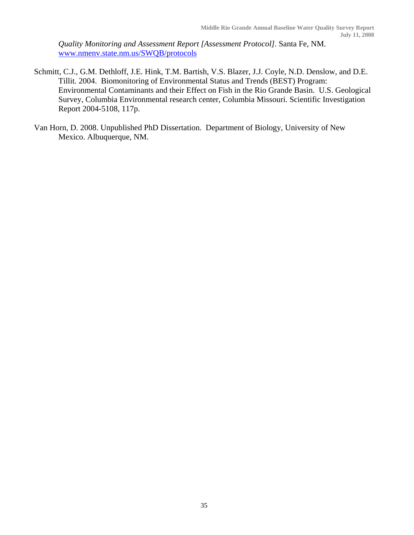<span id="page-40-0"></span>*Quality Monitoring and Assessment Report [Assessment Protocol]*. Santa Fe, NM. www.nmenv.state.nm.us/SWQB/protocols

- Schmitt, C.J., G.M. Dethloff, J.E. Hink, T.M. Bartish, V.S. Blazer, J.J. Coyle, N.D. Denslow, and D.E. Tillit. 2004. Biomonitoring of Environmental Status and Trends (BEST) Program: Environmental Contaminants and their Effect on Fish in the Rio Grande Basin. U.S. Geological Survey, Columbia Environmental research center, Columbia Missouri. Scientific Investigation Report 2004-5108, 117p.
- Van Horn, D. 2008. Unpublished PhD Dissertation. Department of Biology, University of New Mexico. Albuquerque, NM.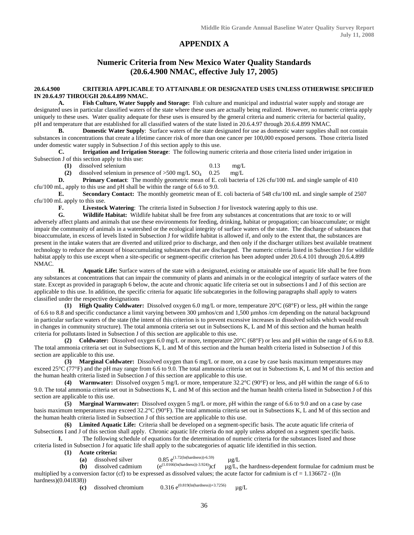#### **APPENDIX A**

#### **Numeric Criteria from New Mexico Water Quality Standards (20.6.4.900 NMAC, effective July 17, 2005)**

#### <span id="page-41-0"></span>**20.6.4.900 CRITERIA APPLICABLE TO ATTAINABLE OR DESIGNATED USES UNLESS OTHERWISE SPECIFIED IN 20.6.4.97 THROUGH 20.6.4.899 NMAC.**

 **A. Fish Culture, Water Supply and Storage:** Fish culture and municipal and industrial water supply and storage are designated uses in particular classified waters of the state where these uses are actually being realized. However, no numeric criteria apply uniquely to these uses. Water quality adequate for these uses is ensured by the general criteria and numeric criteria for bacterial quality, pH and temperature that are established for all classified waters of the state listed in 20.6.4.97 through 20.6.4.899 NMAC.

**B. Domestic Water Supply**: Surface waters of the state designated for use as domestic water supplies shall not contain substances in concentrations that create a lifetime cancer risk of more than one cancer per 100,000 exposed persons. Those criteria listed under domestic water supply in Subsection J of this section apply to this use.

**C. Irrigation and Irrigation Storage**: The following numeric criteria and those criteria listed under irrigation in Subsection J of this section apply to this use:

**(1)** dissolved selenium 0.13 mg/L

(2) dissolved selenium in presence of  $>500$  mg/L SO<sub>4</sub> 0.25 mg/L<br>**D.** Primary Contact: The monthly geometric mean of E. coli bacteri **Primary Contact:** The monthly geometric mean of E. coli bacteria of 126 cfu/100 mL and single sample of 410 cfu/100 mL, apply to this use and pH shall be within the range of 6.6 to 9.0.

**E.** Secondary Contact: The monthly geometric mean of E. coli bacteria of 548 cfu/100 mL and single sample of 2507 cfu/100 mL apply to this use.

**F. Livestock Watering**: The criteria listed in Subsection J for livestock watering apply to this use.

**G. Wildlife Habitat:** Wildlife habitat shall be free from any substances at concentrations that are toxic to or will adversely affect plants and animals that use these environments for feeding, drinking, habitat or propagation; can bioaccumulate; or might impair the community of animals in a watershed or the ecological integrity of surface waters of the state. The discharge of substances that bioaccumulate, in excess of levels listed in Subsection J for wildlife habitat is allowed if, and only to the extent that, the substances are present in the intake waters that are diverted and utilized prior to discharge, and then only if the discharger utilizes best available treatment technology to reduce the amount of bioaccumulating substances that are discharged. The numeric criteria listed in Subsection J for wildlife habitat apply to this use except when a site-specific or segment-specific criterion has been adopted under 20.6.4.101 through 20.6.4.899 NMAC.

**H.** Aquatic Life: Surface waters of the state with a designated, existing or attainable use of aquatic life shall be free from any substances at concentrations that can impair the community of plants and animals in or the ecological integrity of surface waters of the state. Except as provided in paragraph 6 below, the acute and chronic aquatic life criteria set out in subsections I and J of this section are applicable to this use. In addition, the specific criteria for aquatic life subcategories in the following paragraphs shall apply to waters classified under the respective designations

 **(1) High Quality Coldwater:** Dissolved oxygen 6.0 mg/L or more, temperature 20°C (68°F) or less, pH within the range of 6.6 to 8.8 and specific conductance a limit varying between 300 µmhos/cm and 1,500 µmhos /cm depending on the natural background in particular surface waters of the state (the intent of this criterion is to prevent excessive increases in dissolved solids which would result in changes in community structure). The total ammonia criteria set out in Subsections K, L and M of this section and the human health criteria for pollutants listed in Subsection J of this section are applicable to this use.

 **(2) Coldwater:** Dissolved oxygen 6.0 mg/L or more, temperature 20°C (68°F) or less and pH within the range of 6.6 to 8.8. The total ammonia criteria set out in Subsections K, L and M of this section and the human health criteria listed in Subsection J of this section are applicable to this use.

 **(3) Marginal Coldwater:** Dissolved oxygen than 6 mg/L or more, on a case by case basis maximum temperatures may exceed 25°C (77°F) and the pH may range from 6.6 to 9.0. The total ammonia criteria set out in Subsections K, L and M of this section and the human health criteria listed in Subsection J of this section are applicable to this use.

 **(4) Warmwater:** Dissolved oxygen 5 mg/L or more, temperature 32.2°C (90°F) or less, and pH within the range of 6.6 to 9.0. The total ammonia criteria set out in Subsections K, L and M of this section and the human health criteria listed in Subsection J of this section are applicable to this use.

 **(5) Marginal Warmwater:** Dissolved oxygen 5 mg/L or more, pH within the range of 6.6 to 9.0 and on a case by case basis maximum temperatures may exceed 32.2°C (90°F). The total ammonia criteria set out in Subsections K, L and M of this section and the human health criteria listed in Subsection J of this section are applicable to this use.

 **(6) Limited Aquatic Life:** Criteria shall be developed on a segment-specific basis. The acute aquatic life criteria of Subsections I and J of this section shall apply. Chronic aquatic life criteria do not apply unless adopted on a segment specific basis.

**I.** The following schedule of equations for the determination of numeric criteria for the substances listed and those criteria listed in Subsection J for aquatic life shall apply to the subcategories of aquatic life identified in this section.

**(1) Acute criteria:** 

- **(a)** dissolved silver 0.85 e<sup>(1.72(ln(hardness))-6.59)  $\mu$ g/L<br> **(b)** dissolved cadmium  $(e^{(1.0166(\ln(\text{hardness}))-3.924)})cf$   $\mu$ <sup>L</sup></sup>
	-

**(b)** dissolved cadmium  $(e^{(1.0166(ln(radrones)))-3.924})cf$   $\mu g/L$ , the hardness-dependent formulae for cadmium must be multiplied by a conversion factor (cf) to be expressed as dissolved values; the acute factor for cadmium is  $cf = 1.136672$  - ((ln hardness)(0.041838))

**(c)** dissolved chromium  $0.316 e^{(0.819(\text{ln}(\text{hardness})) + 3.7256)}$   $\mu g/L$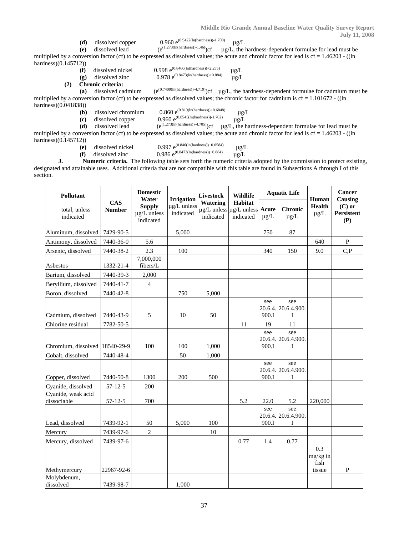**(d)** dissolved copper 0.960  $e^{(0.9422(\text{In(hardness)})-1.700)}$   $\mu g/L$ 

(a) dissolved copper<br> **(e)** dissolved lead  $(e^{(1.273(\ln(\text{hardness}))-1.46)})cf$   $\mu g/L$ , the hardness-dependent formulae for lead must be multiplied by a conversion factor (cf) to be expressed as dissolved values; the acute and chronic factor for lead is  $cf = 1.46203$  - ((ln hardness)(0.145712))

- **(f)** dissolved nickel  $0.998 e^{(0.8460(\ln(\text{hardness})) + 2.255)} \quad \mu g/L$ <br> **(g)** dissolved zinc  $0.978 e^{(0.8473(\ln(\text{hardness})) + 0.884)} \quad \mu g/L$
- (g) dissolved zinc 0.978 e<sup>(0.8473(ln(hardness))+0.884)  $\mu g/L$ <br>(g) dissolved zinc 0.978 e<sup>(0.8473(ln(hardness))+0.884)</sup>  $\mu g/L$ </sup>
- **(2) Chronic criteria:**

(a) dissolved cadmium  $(e^{(0.7409(\ln(hardness))4.719)})cf$   $\mu g/L$ , the hardness-dependent formulae for cadmium must be multiplied by a conversion factor (cf) to be expressed as dissolved values; the chronic factor for cadmium is  $cf = 1.101672$  - ((ln hardness)(0.041838))

- **(b)** dissolved chromium  $0.860 e^{(0.819(\text{ln}(\text{hardness}))+0.6848)} \mu g/L$ <br> **(c)** dissolved copper  $0.960 e^{(0.8545(\text{ln}(\text{hardness}))-1.702)} \mu g/L$
- **(c)** dissolved copper  $0.960 e^{(0.8545(ln(hardness))-1.702}$
- (d) dissolved lead  $(e^{(1.273(ln(hardness))-4.705})cf$   $\mu g/L$ , the hardness-dependent formulae for lead must be

multiplied by a conversion factor (cf) to be expressed as dissolved values; the acute and chronic factor for lead is  $cf = 1.46203$  - ((ln hardness)(0.145712))

- **(e)** dissolved nickel  $0.997 e^{(0.846(\text{In}(\text{hardness}))+0.0584)} \qquad \mu g/L$
- **(f)** dissolved zinc 0.986  $e^{(0.8473(\text{ln}(\text{hardness}))+0.884)}$   $\mu g/L$

**J.** Numeric criteria. The following table sets forth the numeric criteria adopted by the commission to protect existing, designated and attainable uses. Additional criteria that are not compatible with this table are found in Subsections A through I of this section.

| Pollutant                         |                             | <b>Domestic</b>                                         |                                                    | <b>Livestock</b>      | Wildlife                                                        |              | <b>Aquatic Life</b>             |                                     | Cancer                                   |
|-----------------------------------|-----------------------------|---------------------------------------------------------|----------------------------------------------------|-----------------------|-----------------------------------------------------------------|--------------|---------------------------------|-------------------------------------|------------------------------------------|
| total, unless<br>indicated        | <b>CAS</b><br><b>Number</b> | Water<br><b>Supply</b><br>$\mu$ g/L unless<br>indicated | <b>Irrigation</b><br>$\mu$ g/L unless<br>indicated | Watering<br>indicated | Habitat<br>$\mu$ g/L unless $\mu$ g/L unless Acute<br>indicated | $\mu$ g/L    | <b>Chronic</b><br>$\mu$ g/L     | Human<br><b>Health</b><br>$\mu$ g/L | Causing<br>$(C)$ or<br>Persistent<br>(P) |
| Aluminum, dissolved               | 7429-90-5                   |                                                         | 5,000                                              |                       |                                                                 | 750          | 87                              |                                     |                                          |
| Antimony, dissolved               | 7440-36-0                   | 5.6                                                     |                                                    |                       |                                                                 |              |                                 | 640                                 | $\mathbf{P}$                             |
| Arsenic, dissolved                | 7440-38-2                   | 2.3                                                     | 100                                                |                       |                                                                 | 340          | 150                             | 9.0                                 | C, P                                     |
| Asbestos                          | 1332-21-4                   | 7,000,000<br>fibers/L                                   |                                                    |                       |                                                                 |              |                                 |                                     |                                          |
| Barium, dissolved                 | 7440-39-3                   | 2,000                                                   |                                                    |                       |                                                                 |              |                                 |                                     |                                          |
| Beryllium, dissolved              | 7440-41-7                   | $\overline{4}$                                          |                                                    |                       |                                                                 |              |                                 |                                     |                                          |
| Boron, dissolved                  | 7440-42-8                   |                                                         | 750                                                | 5,000                 |                                                                 |              |                                 |                                     |                                          |
| Cadmium, dissolved                | 7440-43-9                   | 5                                                       | 10                                                 | 50                    |                                                                 | see<br>900.I | see<br>20.6.4. 20.6.4.900.<br>I |                                     |                                          |
| Chlorine residual                 | 7782-50-5                   |                                                         |                                                    |                       | 11                                                              | 19           | 11                              |                                     |                                          |
| Chromium, dissolved 18540-29-9    |                             | 100                                                     | 100                                                | 1,000                 |                                                                 | see<br>900.I | see<br>20.6.4. 20.6.4.900.<br>Ι |                                     |                                          |
| Cobalt, dissolved                 | 7440-48-4                   |                                                         | 50                                                 | 1,000                 |                                                                 |              |                                 |                                     |                                          |
| Copper, dissolved                 | 7440-50-8                   | 1300                                                    | 200                                                | 500                   |                                                                 | see<br>900.I | see<br>20.6.4. 20.6.4.900.<br>I |                                     |                                          |
| Cyanide, dissolved                | $57 - 12 - 5$               | 200                                                     |                                                    |                       |                                                                 |              |                                 |                                     |                                          |
| Cyanide, weak acid<br>dissociable | $57 - 12 - 5$               | 700                                                     |                                                    |                       | 5.2                                                             | 22.0         | 5.2                             | 220,000                             |                                          |
| Lead, dissolved                   | 7439-92-1                   | 50                                                      | 5,000                                              | 100                   |                                                                 | see<br>900.I | see<br>20.6.4. 20.6.4.900.<br>I |                                     |                                          |
| Mercury                           | 7439-97-6                   | $\overline{c}$                                          |                                                    | 10                    |                                                                 |              |                                 |                                     |                                          |
| Mercury, dissolved                | 7439-97-6                   |                                                         |                                                    |                       | 0.77                                                            | 1.4          | 0.77                            |                                     |                                          |
| Methymercury                      | 22967-92-6                  |                                                         |                                                    |                       |                                                                 |              |                                 | 0.3<br>mg/kg in<br>fish<br>tissue   | $\mathbf{P}$                             |
| Molybdenum,<br>dissolved          | 7439-98-7                   |                                                         | 1.000                                              |                       |                                                                 |              |                                 |                                     |                                          |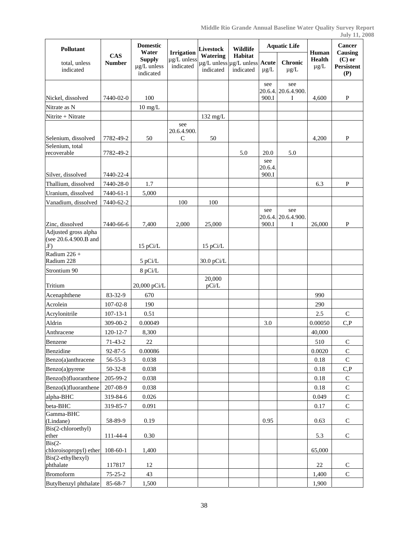| Pollutant                               |                             | <b>Domestic</b><br>Water                       | <b>Irrigation</b>             | <b>Livestock</b>      | Wildlife                                              | <b>Aquatic Life</b> |                             | Human                      | <b>Cancer</b><br>Causing      |
|-----------------------------------------|-----------------------------|------------------------------------------------|-------------------------------|-----------------------|-------------------------------------------------------|---------------------|-----------------------------|----------------------------|-------------------------------|
| total, unless<br>indicated              | <b>CAS</b><br><b>Number</b> | <b>Supply</b><br>$\mu$ g/L unless<br>indicated | $\mu$ g/L unless<br>indicated | Watering<br>indicated | Habitat<br>ug/L unless ug/L unless Acute<br>indicated | $\mu$ g/L           | <b>Chronic</b><br>$\mu$ g/L | <b>Health</b><br>$\mu$ g/L | $(C)$ or<br>Persistent<br>(P) |
|                                         |                             |                                                |                               |                       |                                                       | see                 | see                         |                            |                               |
| Nickel, dissolved                       | 7440-02-0                   | 100                                            |                               |                       |                                                       | 20.6.4.<br>900.I    | 20.6.4.900.<br>Ι            | 4,600                      | ${\bf P}$                     |
| Nitrate as N                            |                             | $10 \text{ mg/L}$                              |                               |                       |                                                       |                     |                             |                            |                               |
| Nitrite + Nitrate                       |                             |                                                |                               | 132 mg/L              |                                                       |                     |                             |                            |                               |
|                                         |                             |                                                | see                           |                       |                                                       |                     |                             |                            |                               |
| Selenium, dissolved                     | 7782-49-2                   | 50                                             | 20.6.4.900.<br>$\mathsf{C}$   | 50                    |                                                       |                     |                             | 4,200                      | $\, {\bf P}$                  |
| Selenium, total                         |                             |                                                |                               |                       |                                                       |                     |                             |                            |                               |
| recoverable                             | 7782-49-2                   |                                                |                               |                       | 5.0                                                   | 20.0                | 5.0                         |                            |                               |
|                                         |                             |                                                |                               |                       |                                                       | see                 |                             |                            |                               |
| Silver, dissolved                       | 7440-22-4                   |                                                |                               |                       |                                                       | 20.6.4.<br>900.I    |                             |                            |                               |
| Thallium, dissolved                     | 7440-28-0                   | 1.7                                            |                               |                       |                                                       |                     |                             | 6.3                        | ${\bf P}$                     |
| Uranium, dissolved                      | 7440-61-1                   | 5,000                                          |                               |                       |                                                       |                     |                             |                            |                               |
| Vanadium, dissolved                     | 7440-62-2                   |                                                | 100                           | 100                   |                                                       |                     |                             |                            |                               |
|                                         |                             |                                                |                               |                       |                                                       | see<br>20.6.4.      | see<br>20.6.4.900.          |                            |                               |
| Zinc, dissolved<br>Adjusted gross alpha | 7440-66-6                   | 7.400                                          | 2,000                         | 25,000                |                                                       | 900.I               | Ι                           | 26,000                     | $\, {\bf P}$                  |
| (see 20.6.4.900.B and<br>.F)            |                             | $15$ pCi/L                                     |                               | 15 pCi/L              |                                                       |                     |                             |                            |                               |
| Radium $226 +$                          |                             |                                                |                               |                       |                                                       |                     |                             |                            |                               |
| Radium 228                              |                             | 5 pCi/L                                        |                               | 30.0 pCi/L            |                                                       |                     |                             |                            |                               |
| Strontium 90                            |                             | 8 pCi/L                                        |                               |                       |                                                       |                     |                             |                            |                               |
| Tritium                                 |                             | 20,000 pCi/L                                   |                               | 20,000<br>pCi/L       |                                                       |                     |                             |                            |                               |
| Acenaphthene                            | 83-32-9                     | 670                                            |                               |                       |                                                       |                     |                             | 990                        |                               |
| Acrolein                                | $107 - 02 - 8$              | 190                                            |                               |                       |                                                       |                     |                             | 290                        |                               |
| Acrylonitrile                           | $107 - 13 - 1$              | 0.51                                           |                               |                       |                                                       |                     |                             | 2.5                        | $\mathsf{C}$                  |
| Aldrin                                  | 309-00-2                    | 0.00049                                        |                               |                       |                                                       | 3.0                 |                             | 0.00050                    | C, P                          |
| Anthracene                              | 120-12-7                    | 8,300                                          |                               |                       |                                                       |                     |                             | 40,000                     |                               |
| Benzene                                 | $71-43-2$                   | 22                                             |                               |                       |                                                       |                     |                             | 510                        | $\mathsf C$                   |
| Benzidine                               | $92 - 87 - 5$               | 0.00086                                        |                               |                       |                                                       |                     |                             | 0.0020                     | $\overline{C}$                |
| Benzo(a)anthracene                      | $56 - 55 - 3$               | 0.038                                          |                               |                       |                                                       |                     |                             | 0.18                       | $\mathsf C$                   |
| Benzo(a)pyrene                          | $50 - 32 - 8$               | 0.038                                          |                               |                       |                                                       |                     |                             | 0.18                       | C, P                          |
| Benzo(b)fluoranthene                    | 205-99-2                    | 0.038                                          |                               |                       |                                                       |                     |                             | $0.18\,$                   | $\mathbf C$                   |
| Benzo(k)fluoranthene                    | 207-08-9                    | 0.038                                          |                               |                       |                                                       |                     |                             | $0.18\,$                   | $\mathsf{C}$                  |
| alpha-BHC                               | 319-84-6                    | 0.026                                          |                               |                       |                                                       |                     |                             | 0.049                      | ${\bf C}$                     |
| beta-BHC                                | 319-85-7                    | 0.091                                          |                               |                       |                                                       |                     |                             | 0.17                       | $\mathbf C$                   |
| Gamma-BHC                               |                             |                                                |                               |                       |                                                       |                     |                             |                            |                               |
| (Lindane)                               | 58-89-9                     | 0.19                                           |                               |                       |                                                       | 0.95                |                             | 0.63                       | ${\bf C}$                     |
| Bis(2-chloroethyl)<br>ether             | 111-44-4                    | 0.30                                           |                               |                       |                                                       |                     |                             | 5.3                        | ${\bf C}$                     |
| $\operatorname{Bis}(2-)$                |                             |                                                |                               |                       |                                                       |                     |                             |                            |                               |
| chloroisopropyl) ether                  | $108 - 60 - 1$              | 1,400                                          |                               |                       |                                                       |                     |                             | 65,000                     |                               |
| Bis(2-ethylhexyl)                       | 117817                      | 12                                             |                               |                       |                                                       |                     |                             | 22                         | $\mathbf C$                   |
| phthalate<br><b>Bromoform</b>           | $75 - 25 - 2$               | 43                                             |                               |                       |                                                       |                     |                             | 1,400                      | $\mathsf{C}$                  |
| Butylbenzyl phthalate                   | 85-68-7                     | 1,500                                          |                               |                       |                                                       |                     |                             | 1,900                      |                               |
|                                         |                             |                                                |                               |                       |                                                       |                     |                             |                            |                               |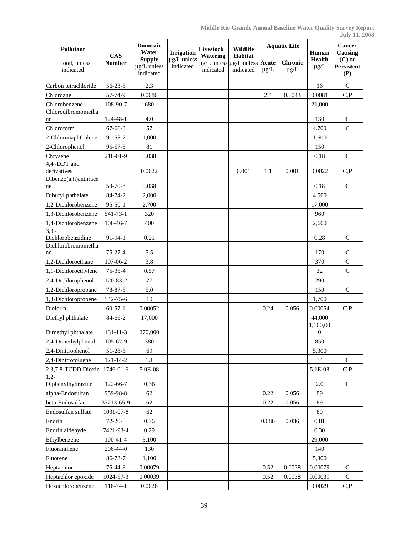| Pollutant                     |                             | <b>Domestic</b><br>Water                       | <b>Irrigation</b>             | <b>Livestock</b>      | Wildlife                                              | <b>Aquatic Life</b> |                             | Human                      | <b>Cancer</b><br>Causing      |
|-------------------------------|-----------------------------|------------------------------------------------|-------------------------------|-----------------------|-------------------------------------------------------|---------------------|-----------------------------|----------------------------|-------------------------------|
| total, unless<br>indicated    | <b>CAS</b><br><b>Number</b> | <b>Supply</b><br>$\mu$ g/L unless<br>indicated | $\mu$ g/L unless<br>indicated | Watering<br>indicated | Habitat<br>ug/L unless ug/L unless Acute<br>indicated | $\mu$ g/L           | <b>Chronic</b><br>$\mu$ g/L | <b>Health</b><br>$\mu g/L$ | $(C)$ or<br>Persistent<br>(P) |
| Carbon tetrachloride          | $56 - 23 - 5$               | 2.3                                            |                               |                       |                                                       |                     |                             | 16                         | $\mathsf{C}$                  |
| Chlordane                     | 57-74-9                     | 0.0080                                         |                               |                       |                                                       | 2.4                 | 0.0043                      | 0.0081                     | C.P                           |
| Chlorobenzene                 | 108-90-7                    | 680                                            |                               |                       |                                                       |                     |                             | 21,000                     |                               |
| Chlorodibromometha            |                             |                                                |                               |                       |                                                       |                     |                             |                            |                               |
| ne                            | 124-48-1                    | 4.0                                            |                               |                       |                                                       |                     |                             | 130                        | $\mathsf{C}$                  |
| Chloroform                    | $67 - 66 - 3$               | 57                                             |                               |                       |                                                       |                     |                             | 4,700                      | $\overline{C}$                |
| 2-Chloronaphthalene           | $91 - 58 - 7$               | 1,000                                          |                               |                       |                                                       |                     |                             | 1,600                      |                               |
| 2-Chlorophenol                | $95 - 57 - 8$               | 81                                             |                               |                       |                                                       |                     |                             | 150                        |                               |
| Chrysene                      | 218-01-9                    | 0.038                                          |                               |                       |                                                       |                     |                             | 0.18                       | $\mathbf C$                   |
| 4,4'-DDT and<br>derivatives   |                             | 0.0022                                         |                               |                       | 0.001                                                 | 1.1                 | 0.001                       | 0.0022                     | C, P                          |
| Dibenzo(a,h)anthrace<br>ne    | $53 - 70 - 3$               | 0.038                                          |                               |                       |                                                       |                     |                             | 0.18                       | $\mathsf{C}$                  |
| Dibutyl phthalate             | 84-74-2                     | 2,000                                          |                               |                       |                                                       |                     |                             | 4,500                      |                               |
| 1,2-Dichlorobenzene           | $95 - 50 - 1$               | 2,700                                          |                               |                       |                                                       |                     |                             | 17,000                     |                               |
| 1,3-Dichlorobenzene           | 541-73-1                    | 320                                            |                               |                       |                                                       |                     |                             | 960                        |                               |
| 1,4-Dichlorobenzene           | 106-46-7                    | 400                                            |                               |                       |                                                       |                     |                             | 2,600                      |                               |
| $3,3'$ -<br>Dichlorobenzidine | $91 - 94 - 1$               | 0.21                                           |                               |                       |                                                       |                     |                             | 0.28                       | $\mathsf{C}$                  |
| Dichlorobromometha            |                             |                                                |                               |                       |                                                       |                     |                             |                            |                               |
| ne                            | $75 - 27 - 4$               | 5.5                                            |                               |                       |                                                       |                     |                             | 170                        | $\mathsf{C}$                  |
| 1,2-Dichloroethane            | 107-06-2                    | 3.8                                            |                               |                       |                                                       |                     |                             | 370                        | $\overline{C}$                |
| 1,1-Dichloroethylene          | $75 - 35 - 4$               | 0.57                                           |                               |                       |                                                       |                     |                             | 32                         | $\overline{C}$                |
| 2,4-Dichlorophenol            | 120-83-2                    | 77                                             |                               |                       |                                                       |                     |                             | 290                        |                               |
| 1,2-Dichloropropane           | 78-87-5                     | 5.0                                            |                               |                       |                                                       |                     |                             | 150                        | $\mathsf{C}$                  |
| 1,3-Dichloropropene           | 542-75-6                    | 10                                             |                               |                       |                                                       |                     |                             | 1,700                      |                               |
| Dieldrin                      | $60-57-1$                   | 0.00052                                        |                               |                       |                                                       | 0.24                | 0.056                       | 0.00054                    | C.P                           |
| Diethyl phthalate             | 84-66-2                     | 17,000                                         |                               |                       |                                                       |                     |                             | 44,000                     |                               |
| Dimethyl phthalate            | $131 - 11 - 3$              | 270,000                                        |                               |                       |                                                       |                     |                             | 1,100,00<br>$\mathbf{0}$   |                               |
| 2,4-Dimethylphenol            | $105 - 67 - 9$              | 380                                            |                               |                       |                                                       |                     |                             | 850                        |                               |
| 2,4-Dinitrophenol             | 51-28-5                     | 69                                             |                               |                       |                                                       |                     |                             | 5,300                      |                               |
| 2,4-Dinitrotoluene            | $121 - 14 - 2$              | 1.1                                            |                               |                       |                                                       |                     |                             | 34                         | $\mathsf{C}$                  |
| $2,3,7,8$ -TCDD Dioxin        | 1746-01-6                   | 5.0E-08                                        |                               |                       |                                                       |                     |                             | 5.1E-08                    | C, P                          |
| $1,2-$<br>Diphenylhydrazine   | 122-66-7                    | 0.36                                           |                               |                       |                                                       |                     |                             | 2.0                        | $\mathsf{C}$                  |
| alpha-Endosulfan              | 959-98-8                    | 62                                             |                               |                       |                                                       | 0.22                | 0.056                       | 89                         |                               |
| beta-Endosulfan               | 33213-65-9                  | 62                                             |                               |                       |                                                       | 0.22                | 0.056                       | 89                         |                               |
| Endosulfan sulfate            | 1031-07-8                   | 62                                             |                               |                       |                                                       |                     |                             | 89                         |                               |
| Endrin                        | $72 - 20 - 8$               | 0.76                                           |                               |                       |                                                       | 0.086               | 0.036                       | 0.81                       |                               |
| Endrin aldehyde               | 7421-93-4                   | 0.29                                           |                               |                       |                                                       |                     |                             | 0.30                       |                               |
| Ethylbenzene                  | $100 - 41 - 4$              | 3,100                                          |                               |                       |                                                       |                     |                             | 29,000                     |                               |
| Fluoranthene                  | 206-44-0                    | 130                                            |                               |                       |                                                       |                     |                             | 140                        |                               |
| Fluorene                      | 86-73-7                     | 1,100                                          |                               |                       |                                                       |                     |                             | 5,300                      |                               |
| Heptachlor                    | 76-44-8                     | 0.00079                                        |                               |                       |                                                       | 0.52                | 0.0038                      | 0.00079                    | $\mathsf{C}$                  |
| Heptachlor epoxide            | 1024-57-3                   | 0.00039                                        |                               |                       |                                                       | 0.52                | 0.0038                      | 0.00039                    | $\mathsf C$                   |
| Hexachlorobenzene             | 118-74-1                    | 0.0028                                         |                               |                       |                                                       |                     |                             | 0.0029                     | C, P                          |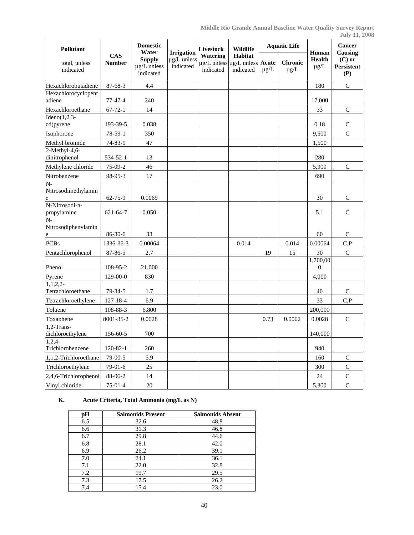| Pollutant                         |                             | <b>Domestic</b><br>Water                       | <b>Irrigation</b>             | Livestock                                        | <b>Wildlife</b>                          |                    | <b>Aquatic Life</b>         | Human                      | <b>Cancer</b><br>Causing      |
|-----------------------------------|-----------------------------|------------------------------------------------|-------------------------------|--------------------------------------------------|------------------------------------------|--------------------|-----------------------------|----------------------------|-------------------------------|
| total, unless<br>indicated        | <b>CAS</b><br><b>Number</b> | <b>Supply</b><br>$\mu$ g/L unless<br>indicated | $\mu$ g/L unless<br>indicated | <b>Watering</b><br>$\mu$ g/L unless<br>indicated | Habitat<br>$\mu$ g/L unless<br>indicated | Acute<br>$\mu$ g/L | <b>Chronic</b><br>$\mu$ g/L | <b>Health</b><br>$\mu$ g/L | $(C)$ or<br>Persistent<br>(P) |
| Hexachlorobutadiene               | $87 - 68 - 3$               | 4.4                                            |                               |                                                  |                                          |                    |                             | 180                        | $\mathsf{C}$                  |
| Hexachlorocyclopent<br>adiene     | $77 - 47 - 4$               | 240                                            |                               |                                                  |                                          |                    |                             | 17,000                     |                               |
| Hexachloroethane                  | $67 - 72 - 1$               | 14                                             |                               |                                                  |                                          |                    |                             | 33                         | $\mathsf C$                   |
| Ideno $(1,2,3$ -<br>cd)pyrene     | 193-39-5                    | 0.038                                          |                               |                                                  |                                          |                    |                             | 0.18                       | $\mathsf{C}$                  |
| Isophorone                        | 78-59-1                     | 350                                            |                               |                                                  |                                          |                    |                             | 9,600                      | $\overline{C}$                |
| Methyl bromide                    | 74-83-9                     | 47                                             |                               |                                                  |                                          |                    |                             | 1,500                      |                               |
| 2-Methyl-4,6-<br>dinitrophenol    | 534-52-1                    | 13                                             |                               |                                                  |                                          |                    |                             | 280                        |                               |
| Methylene chloride                | 75-09-2                     | 46                                             |                               |                                                  |                                          |                    |                             | 5,900                      | $\mathsf C$                   |
| Nitrobenzene                      | 98-95-3                     | 17                                             |                               |                                                  |                                          |                    |                             | 690                        |                               |
| $N-$<br>Nitrosodimethylamin       | 62-75-9                     | 0.0069                                         |                               |                                                  |                                          |                    |                             | 30                         | C                             |
| N-Nitrosodi-n-<br>propylamine     | 621-64-7                    | 0.050                                          |                               |                                                  |                                          |                    |                             | 5.1                        | C                             |
| $N -$<br>Nitrosodiphenylamin      | 86-30-6                     | 33                                             |                               |                                                  |                                          |                    |                             | 60                         | $\mathsf{C}$                  |
| <b>PCBs</b>                       | 1336-36-3                   | 0.00064                                        |                               |                                                  | 0.014                                    |                    | 0.014                       | 0.00064                    | C, P                          |
| Pentachlorophenol                 | $87 - 86 - 5$               | 2.7                                            |                               |                                                  |                                          | 19                 | 15                          | 30                         | $\mathbf C$                   |
| Phenol                            | 108-95-2                    | 21,000                                         |                               |                                                  |                                          |                    |                             | 1,700,00<br>$\theta$       |                               |
| Pyrene                            | $129 - 00 - 0$              | 830                                            |                               |                                                  |                                          |                    |                             | 4,000                      |                               |
| $1.1.2.2-$<br>Tetrachloroethane   | 79-34-5                     | 1.7                                            |                               |                                                  |                                          |                    |                             | 40                         | C                             |
| Tetrachloroethylene               | 127-18-4                    | 6.9                                            |                               |                                                  |                                          |                    |                             | 33                         | C, P                          |
| Toluene                           | 108-88-3                    | 6,800                                          |                               |                                                  |                                          |                    |                             | 200,000                    |                               |
| Toxaphene                         | 8001-35-2                   | 0.0028                                         |                               |                                                  |                                          | 0.73               | 0.0002                      | 0.0028                     | $\mathsf C$                   |
| $1,2$ -Trans-<br>dichloroethylene | 156-60-5                    | 700                                            |                               |                                                  |                                          |                    |                             | 140,000                    |                               |
| $1,2,4-$<br>Trichlorobenzene      | 120-82-1                    | 260                                            |                               |                                                  |                                          |                    |                             | 940                        |                               |
| 1,1,2-Trichloroethane             | 79-00-5                     | 5.9                                            |                               |                                                  |                                          |                    |                             | 160                        | $\mathsf{C}$                  |
| Trichloroethylene                 | 79-01-6                     | 25                                             |                               |                                                  |                                          |                    |                             | 300                        | $\overline{C}$                |
| 2,4,6-Trichlorophenol             | 88-06-2                     | 14                                             |                               |                                                  |                                          |                    |                             | 24                         | $\overline{C}$                |
| Vinyl chloride                    | $75-01-4$                   | 20                                             |                               |                                                  |                                          |                    |                             | 5,300                      | $\overline{C}$                |

#### **K. Acute Criteria, Total Ammonia (mg/L as N)**

| pН  | <b>Salmonids Present</b> | <b>Salmonids Absent</b> |
|-----|--------------------------|-------------------------|
| 6.5 | 32.6                     | 48.8                    |
| 6.6 | 31.3                     | 46.8                    |
| 6.7 | 29.8                     | 44.6                    |
| 6.8 | 28.1                     | 42.0                    |
| 6.9 | 26.2                     | 39.1                    |
| 7.0 | 24.1                     | 36.1                    |
| 7.1 | 22.0                     | 32.8                    |
| 7.2 | 19.7                     | 29.5                    |
| 7.3 | 17.5                     | 26.2                    |
| 7.4 | 15.4                     | 23.0                    |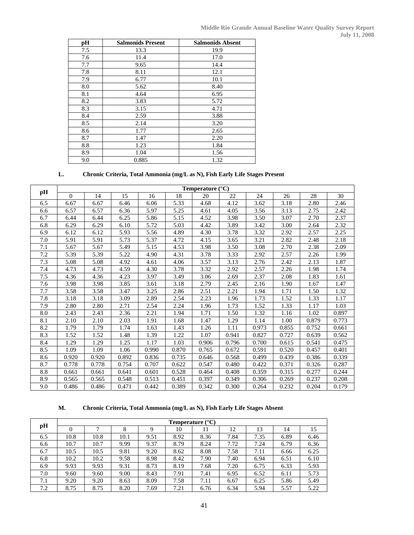| pН  | <b>Salmonids Present</b> | <b>Salmonids Absent</b> |
|-----|--------------------------|-------------------------|
| 7.5 | 13.3                     | 19.9                    |
| 7.6 | 11.4                     | 17.0                    |
| 7.7 | 9.65                     | 14.4                    |
| 7.8 | 8.11                     | 12.1                    |
| 7.9 | 6.77                     | 10.1                    |
| 8.0 | 5.62                     | 8.40                    |
| 8.1 | 4.64                     | 6.95                    |
| 8.2 | 3.83                     | 5.72                    |
| 8.3 | 3.15                     | 4.71                    |
| 8.4 | 2.59                     | 3.88                    |
| 8.5 | 2.14                     | 3.20                    |
| 8.6 | 1.77                     | 2.65                    |
| 8.7 | 1.47                     | 2.20                    |
| 8.8 | 1.23                     | 1.84                    |
| 8.9 | 1.04                     | 1.56                    |
| 9.0 | 0.885                    | 1.32                    |

#### **L. Chronic Criteria, Total Ammonia (mg/L as N), Fish Early Life Stages Present**

|     | Temperature $(^{\circ}C)$ |       |       |       |       |       |       |       |       |       |       |  |
|-----|---------------------------|-------|-------|-------|-------|-------|-------|-------|-------|-------|-------|--|
| pН  | $\overline{0}$            | 14    | 15    | 16    | 18    | 20    | 22    | 24    | 26    | 28    | 30    |  |
| 6.5 | 6.67                      | 6.67  | 6.46  | 6.06  | 5.33  | 4.68  | 4.12  | 3.62  | 3.18  | 2.80  | 2.46  |  |
| 6.6 | 6.57                      | 6.57  | 6.36  | 5.97  | 5.25  | 4.61  | 4.05  | 3.56  | 3.13  | 2.75  | 2.42  |  |
| 6.7 | 6.44                      | 6.44  | 6.25  | 5.86  | 5.15  | 4.52  | 3.98  | 3.50  | 3.07  | 2.70  | 2.37  |  |
| 6.8 | 6.29                      | 6.29  | 6.10  | 5.72  | 5.03  | 4.42  | 3.89  | 3.42  | 3.00  | 2.64  | 2.32  |  |
| 6.9 | 6.12                      | 6.12  | 5.93  | 5.56  | 4.89  | 4.30  | 3.78  | 3.32  | 2.92  | 2.57  | 2.25  |  |
| 7.0 | 5.91                      | 5.91  | 5.73  | 5.37  | 4.72  | 4.15  | 3.65  | 3.21  | 2.82  | 2.48  | 2.18  |  |
| 7.1 | 5.67                      | 5.67  | 5.49  | 5.15  | 4.53  | 3.98  | 3.50  | 3.08  | 2.70  | 2.38  | 2.09  |  |
| 7.2 | 5.39                      | 5.39  | 5.22  | 4.90  | 4.31  | 3.78  | 3.33  | 2.92  | 2.57  | 2.26  | 1.99  |  |
| 7.3 | 5.08                      | 5.08  | 4.92  | 4.61  | 4.06  | 3.57  | 3.13  | 2.76  | 2.42  | 2.13  | 1.87  |  |
| 7.4 | 4.73                      | 4.73  | 4.59  | 4.30  | 3.78  | 3.32  | 2.92  | 2.57  | 2.26  | 1.98  | 1.74  |  |
| 7.5 | 4.36                      | 4.36  | 4.23  | 3.97  | 3.49  | 3.06  | 2.69  | 2.37  | 2.08  | 1.83  | 1.61  |  |
| 7.6 | 3.98                      | 3.98  | 3.85  | 3.61  | 3.18  | 2.79  | 2.45  | 2.16  | 1.90  | 1.67  | 1.47  |  |
| 7.7 | 3.58                      | 3.58  | 3.47  | 3.25  | 2.86  | 2.51  | 2.21  | 1.94  | 1.71  | 1.50  | 1.32  |  |
| 7.8 | 3.18                      | 3.18  | 3.09  | 2.89  | 2.54  | 2.23  | 1.96  | 1.73  | 1.52  | 1.33  | 1.17  |  |
| 7.9 | 2.80                      | 2.80  | 2.71  | 2.54  | 2.24  | 1.96  | 1.73  | 1.52  | 1.33  | 1.17  | 1.03  |  |
| 8.0 | 2.43                      | 2.43  | 2.36  | 2.21  | 1.94  | 1.71  | 1.50  | 1.32  | 1.16  | 1.02  | 0.897 |  |
| 8.1 | 2.10                      | 2.10  | 2.03  | 1.91  | 1.68  | 1.47  | 1.29  | 1.14  | 1.00  | 0.879 | 0.773 |  |
| 8.2 | 1.79                      | 1.79  | 1.74  | 1.63  | 1.43  | 1.26  | 1.11  | 0.973 | 0.855 | 0.752 | 0.661 |  |
| 8.3 | 1.52                      | 1.52  | 1.48  | 1.39  | 1.22  | 1.07  | 0.941 | 0.827 | 0.727 | 0.639 | 0.562 |  |
| 8.4 | 1.29                      | 1.29  | 1.25  | 1.17  | 1.03  | 0.906 | 0.796 | 0.700 | 0.615 | 0.541 | 0.475 |  |
| 8.5 | 1.09                      | 1.09  | 1.06  | 0.990 | 0.870 | 0.765 | 0.672 | 0.591 | 0.520 | 0.457 | 0.401 |  |
| 8.6 | 0.920                     | 0.920 | 0.892 | 0.836 | 0.735 | 0.646 | 0.568 | 0.499 | 0.439 | 0.386 | 0.339 |  |
| 8.7 | 0.778                     | 0.778 | 0.754 | 0.707 | 0.622 | 0.547 | 0.480 | 0.422 | 0.371 | 0.326 | 0.287 |  |
| 8.8 | 0.661                     | 0.661 | 0.641 | 0.601 | 0.528 | 0.464 | 0.408 | 0.359 | 0.315 | 0.277 | 0.244 |  |
| 8.9 | 0.565                     | 0.565 | 0.548 | 0.513 | 0.451 | 0.397 | 0.349 | 0.306 | 0.269 | 0.237 | 0.208 |  |
| 9.0 | 0.486                     | 0.486 | 0.471 | 0.442 | 0.389 | 0.342 | 0.300 | 0.264 | 0.232 | 0.204 | 0.179 |  |

#### **M. Chronic Criteria, Total Ammonia (mg/L as N), Fish Early Life Stages Absent**

|     | Temperature $(^{\circ}C)$ |      |      |      |      |      |      |      |      |      |  |
|-----|---------------------------|------|------|------|------|------|------|------|------|------|--|
| pH  | 0                         |      | 8    | 9    | 10   | 11   | 12   | 13   | 14   | 15   |  |
| 6.5 | 10.8                      | 10.8 | 10.1 | 9.51 | 8.92 | 8.36 | 7.84 | 7.35 | 6.89 | 6.46 |  |
| 6.6 | 10.7                      | 10.7 | 9.99 | 9.37 | 8.79 | 8.24 | 7.72 | 7.24 | 6.79 | 6.36 |  |
| 6.7 | 10.5                      | 10.5 | 9.81 | 9.20 | 8.62 | 8.08 | 7.58 | 7.11 | 6.66 | 6.25 |  |
| 6.8 | 10.2                      | 10.2 | 9.58 | 8.98 | 8.42 | 7.90 | 7.40 | 6.94 | 6.51 | 6.10 |  |
| 6.9 | 9.93                      | 9.93 | 9.31 | 8.73 | 8.19 | 7.68 | 7.20 | 6.75 | 6.33 | 5.93 |  |
| 7.0 | 9.60                      | 9.60 | 9.00 | 8.43 | 7.91 | 7.41 | 6.95 | 6.52 | 6.11 | 5.73 |  |
| 7.1 | 9.20                      | 9.20 | 8.63 | 8.09 | 7.58 | 7.11 | 6.67 | 6.25 | 5.86 | 5.49 |  |
| 7.2 | 8.75                      | 8.75 | 8.20 | 7.69 | 7.21 | 6.76 | 6.34 | 5.94 | 5.57 | 5.22 |  |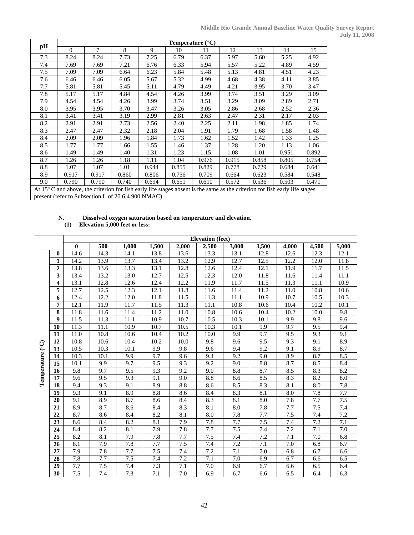**Middle Rio Grande Annual Baseline Water Quality Survey Report July 11, 2008** 

|     | Temperature $(^{\circ}C)$                                                                                                  |        |       |       |       |       |       |       |       |       |  |  |
|-----|----------------------------------------------------------------------------------------------------------------------------|--------|-------|-------|-------|-------|-------|-------|-------|-------|--|--|
| pН  | $\Omega$                                                                                                                   | $\tau$ | 8     | 9     | 10    | 11    | 12    | 13    | 14    | 15    |  |  |
| 7.3 | 8.24                                                                                                                       | 8.24   | 7.73  | 7.25  | 6.79  | 6.37  | 5.97  | 5.60  | 5.25  | 4.92  |  |  |
| 7.4 | 7.69                                                                                                                       | 7.69   | 7.21  | 6.76  | 6.33  | 5.94  | 5.57  | 5.22  | 4.89  | 4.59  |  |  |
| 7.5 | 7.09                                                                                                                       | 7.09   | 6.64  | 6.23  | 5.84  | 5.48  | 5.13  | 4.81  | 4.51  | 4.23  |  |  |
| 7.6 | 6.46                                                                                                                       | 6.46   | 6.05  | 5.67  | 5.32  | 4.99  | 4.68  | 4.38  | 4.11  | 3.85  |  |  |
| 7.7 | 5.81                                                                                                                       | 5.81   | 5.45  | 5.11  | 4.79  | 4.49  | 4.21  | 3.95  | 3.70  | 3.47  |  |  |
| 7.8 | 5.17                                                                                                                       | 5.17   | 4.84  | 4.54  | 4.26  | 3.99  | 3.74  | 3.51  | 3.29  | 3.09  |  |  |
| 7.9 | 4.54                                                                                                                       | 4.54   | 4.26  | 3.99  | 3.74  | 3.51  | 3.29  | 3.09  | 2.89  | 2.71  |  |  |
| 8.0 | 3.95                                                                                                                       | 3.95   | 3.70  | 3.47  | 3.26  | 3.05  | 2.86  | 2.68  | 2.52  | 2.36  |  |  |
| 8.1 | 3.41                                                                                                                       | 3.41   | 3.19  | 2.99  | 2.81  | 2.63  | 2.47  | 2.31  | 2.17  | 2.03  |  |  |
| 8.2 | 2.91                                                                                                                       | 2.91   | 2.73  | 2.56  | 2.40  | 2.25  | 2.11  | 1.98  | 1.85  | 1.74  |  |  |
| 8.3 | 2.47                                                                                                                       | 2.47   | 2.32  | 2.18  | 2.04  | 1.91  | 1.79  | 1.68  | 1.58  | 1.48  |  |  |
| 8.4 | 2.09                                                                                                                       | 2.09   | 1.96  | 1.84  | 1.73  | 1.62  | 1.52  | 1.42  | 1.33  | 1.25  |  |  |
| 8.5 | 1.77                                                                                                                       | 1.77   | 1.66  | 1.55  | 1.46  | 1.37  | 1.28  | 1.20  | 1.13  | 1.06  |  |  |
| 8.6 | 1.49                                                                                                                       | 1.49   | 1.40  | 1.31  | 1.23  | 1.15  | 1.08  | 1.01  | 0.951 | 0.892 |  |  |
| 8.7 | 1.26                                                                                                                       | 1.26   | 1.18  | 1.11  | 1.04  | 0.976 | 0.915 | 0.858 | 0.805 | 0.754 |  |  |
| 8.8 | 1.07                                                                                                                       | 1.07   | 1.01  | 0.944 | 0.855 | 0.829 | 0.778 | 0.729 | 0.684 | 0.641 |  |  |
| 8.9 | 0.917                                                                                                                      | 0.917  | 0.860 | 0.806 | 0.756 | 0.709 | 0.664 | 0.623 | 0.584 | 0.548 |  |  |
| 9.0 | 0.790                                                                                                                      | 0.790  | 0.740 | 0.694 | 0.651 | 0.610 | 0.572 | 0.536 | 0.503 | 0.471 |  |  |
|     | At 15°C and above, the criterion for fish early life stages absent is the same as the criterion for fish early life stages |        |       |       |       |       |       |       |       |       |  |  |
|     | present (refer to Subsection L of 20.6.4.900 NMAC).                                                                        |        |       |       |       |       |       |       |       |       |  |  |

#### **N. Dissolved oxygen saturation based on temperature and elevation.**

|  | $(1)$ Elevation 5,000 feet or less: |
|--|-------------------------------------|
|--|-------------------------------------|

|                  |                         | <b>Elevation</b> (feet) |                   |                  |                  |                  |       |       |       |       |         |                  |
|------------------|-------------------------|-------------------------|-------------------|------------------|------------------|------------------|-------|-------|-------|-------|---------|------------------|
|                  |                         | $\mathbf{0}$            | 500               | 1,000            | 1,500            | 2,000            | 2,500 | 3,000 | 3,500 | 4,000 | 4,500   | 5,000            |
|                  | $\bf{0}$                | 14.6                    | 14.3              | 14.1             | 13.8             | 13.6             | 13.3  | 13.1  | 12.8  | 12.6  | 12.3    | 12.1             |
|                  | 1                       | 14.2                    | 13.9              | 13.7             | 13.4             | 13.2             | 12.9  | 12.7  | 12.5  | 12.2  | 12.0    | 11.8             |
|                  | $\overline{2}$          | 13.8                    | 13.6              | 13.3             | 13.1             | 12.8             | 12.6  | 12.4  | 12.1  | 11.9  | 11.7    | 11.5             |
|                  | 3                       | 13.4                    | 13.2              | 13.0             | 12.7             | 12.5             | 12.3  | 12.0  | 11.8  | 11.6  | 11.4    | 11.1             |
|                  | $\overline{\mathbf{4}}$ | 13.1                    | 12.8              | 12.6             | 12.4             | 12.2             | 11.9  | 11.7  | 11.5  | 11.3  | 11.1    | 10.9             |
|                  | 5                       | 12.7                    | 12.5              | 12.3             | 12.1             | 11.8             | 11.6  | 11.4  | 11.2  | 11.0  | 10.8    | 10.6             |
|                  | 6                       | 12.4                    | 12.2              | 12.0             | 11.8             | 11.5             | 11.3  | 11.1  | 10.9  | 10.7  | 10.5    | 10.3             |
|                  | 7                       | 12.1                    | 11.9              | 11.7             | 11.5             | 11.3             | 11.1  | 10.8  | 10.6  | 10.4  | 10.2    | 10.1             |
|                  | $\overline{\bf 8}$      | 11.8                    | 11.6              | 11.4             | 11.2             | 11.0             | 10.8  | 10.6  | 10.4  | 10.2  | 10.0    | 9.8              |
|                  | $\boldsymbol{9}$        | 11.5                    | 11.3              | 11.1             | 10.9             | 10.7             | 10.5  | 10.3  | 10.1  | 9.9   | 9.8     | 9.6              |
|                  | 10                      | 11.3                    | $\overline{1}1.1$ | 10.9             | 10.7             | 10.5             | 10.3  | 10.1  | 9.9   | 9.7   | 9.5     | 9.4              |
|                  | 11                      | 11.0                    | 10.8              | 10.6             | 10.4             | 10.2             | 10.0  | 9.9   | 9.7   | 9.5   | 9.3     | 9.1              |
|                  | 12                      | 10.8                    | 10.6              | 10.4             | 10.2             | 10.0             | 9.8   | 9.6   | 9.5   | 9.3   | 9.1     | 8.9              |
|                  | 13                      | 10.5                    | 10.3              | 10.1             | 9.9              | 9.8              | 9.6   | 9.4   | 9.2   | 9.1   | 8.9     | 8.7              |
|                  | 14                      | 10.3                    | 10.1              | 9.9              | 9.7              | 9.6              | 9.4   | 9.2   | 9.0   | 8.9   | 8.7     | 8.5              |
|                  | 15                      | $10.1\,$                | 9.9               | 9.7              | 9.5              | 9.3              | 9.2   | 9.0   | 8.8   | 8.7   | 8.5     | 8.4              |
|                  | 16                      | 9.8                     | 9.7               | 9.5              | 9.3              | 9.2              | 9.0   | 8.8   | 8.7   | 8.5   | 8.3     | 8.2              |
| Temperature (°C) | 17                      | 9.6                     | 9.5               | 9.3              | 9.1              | 9.0              | 8.8   | 8.6   | 8.5   | 8.3   | 8.2     | 8.0              |
|                  | 18                      | 9.4                     | 9.3               | 9.1              | 8.9              | 8.8              | 8.6   | 8.5   | 8.3   | 8.1   | 8.0     | 7.8              |
|                  | 19                      | 9.3                     | 9.1               | 8.9              | 8.8              | 8.6              | 8.4   | 8.3   | 8.1   | 8.0   | 7.8     | 7.7              |
|                  | 20                      | 9.1                     | 8.9               | 8.7              | 8.6              | 8.4              | 8.3   | 8.1   | 8.0   | 7.8   | 7.7     | 7.5              |
|                  | 21                      | 8.9                     | 8.7               | 8.6              | 8.4              | 8.3              | 8.1   | 8.0   | 7.8   | 7.7   | 7.5     | 7.4              |
|                  | 22                      | 8.7                     | 8.6               | 8.4              | 8.2              | 8.1              | 8.0   | 7.8   | 7.7   | 7.5   | 7.4     | 7.2              |
|                  | 23                      | 8.6                     | 8.4               | $\overline{8.2}$ | 8.1              | 7.9              | 7.8   | 7.7   | 7.5   | 7.4   | $7.2\,$ | $\overline{7.1}$ |
|                  | 24                      | 8.4                     | 8.2               | $\overline{8.1}$ | 7.9              | 7.8              | 7.7   | 7.5   | 7.4   | 7.2   | 7.1     | 7.0              |
|                  | 25                      | 8.2                     | 8.1               | 7.9              | 7.8              | 7.7              | 7.5   | 7.4   | 7.2   | 7.1   | 7.0     | 6.8              |
|                  | 26                      | 8.1                     | 7.9               | 7.8              | 7.7              | 7.5              | 7.4   | 7.2   | 7.1   | 7.0   | 6.8     | 6.7              |
|                  | 27                      | 7.9                     | 7.8               | 7.7              | 7.5              | 7.4              | 7.2   | 7.1   | 7.0   | 6.8   | 6.7     | 6.6              |
|                  | 28                      | 7.8                     | 7.7               | 7.5              | 7.4              | 7.2              | 7.1   | 7.0   | 6.9   | 6.7   | 6.6     | 6.5              |
|                  | 29                      | 7.7                     | 7.5               | 7.4              | 7.3              | 7.1              | 7.0   | 6.9   | 6.7   | 6.6   | 6.5     | 6.4              |
|                  | 30                      | $\overline{7.5}$        | $\overline{7.4}$  | 7.3              | $\overline{7.1}$ | $\overline{7.0}$ | 6.9   | 6.7   | 6.6   | 6.5   | 6.4     | 6.3              |